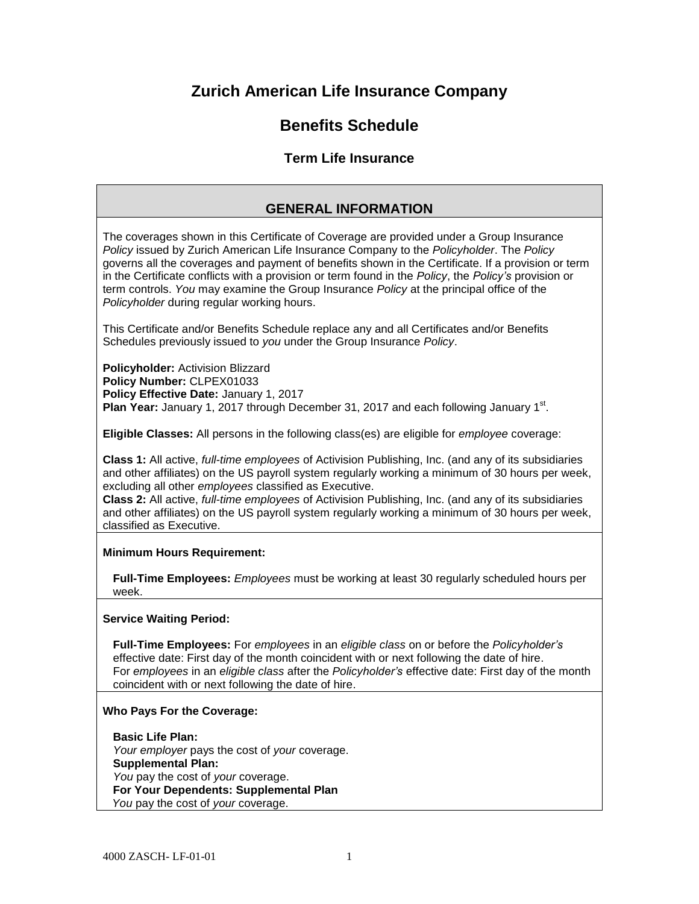# **Zurich American Life Insurance Company**

# **Benefits Schedule**

# **Term Life Insurance**

# **GENERAL INFORMATION**

The coverages shown in this Certificate of Coverage are provided under a Group Insurance *Policy* issued by Zurich American Life Insurance Company to the *Policyholder*. The *Policy*  governs all the coverages and payment of benefits shown in the Certificate. If a provision or term in the Certificate conflicts with a provision or term found in the *Policy*, the *Policy's* provision or term controls. *You* may examine the Group Insurance *Policy* at the principal office of the *Policyholder* during regular working hours.

This Certificate and/or Benefits Schedule replace any and all Certificates and/or Benefits Schedules previously issued to *you* under the Group Insurance *Policy*.

**Policyholder:** Activision Blizzard **Policy Number:** CLPEX01033 **Policy Effective Date:** January 1, 2017 Plan Year: January 1, 2017 through December 31, 2017 and each following January 1<sup>st</sup>.

**Eligible Classes:** All persons in the following class(es) are eligible for *employee* coverage:

**Class 1:** All active, *full-time employees* of Activision Publishing, Inc. (and any of its subsidiaries and other affiliates) on the US payroll system regularly working a minimum of 30 hours per week, excluding all other *employees* classified as Executive.

**Class 2:** All active, *full-time employees* of Activision Publishing, Inc. (and any of its subsidiaries and other affiliates) on the US payroll system regularly working a minimum of 30 hours per week, classified as Executive.

## **Minimum Hours Requirement:**

**Full-Time Employees:** *Employees* must be working at least 30 regularly scheduled hours per week.

## **Service Waiting Period:**

**Full-Time Employees:** For *employees* in an *eligible class* on or before the *Policyholder's*  effective date: First day of the month coincident with or next following the date of hire. For *employees* in an *eligible class* after the *Policyholder's* effective date: First day of the month coincident with or next following the date of hire.

## **Who Pays For the Coverage:**

**Basic Life Plan:** *Your employer* pays the cost of *your* coverage. **Supplemental Plan:** *You* pay the cost of *your* coverage. **For Your Dependents: Supplemental Plan**   *You* pay the cost of *your* coverage.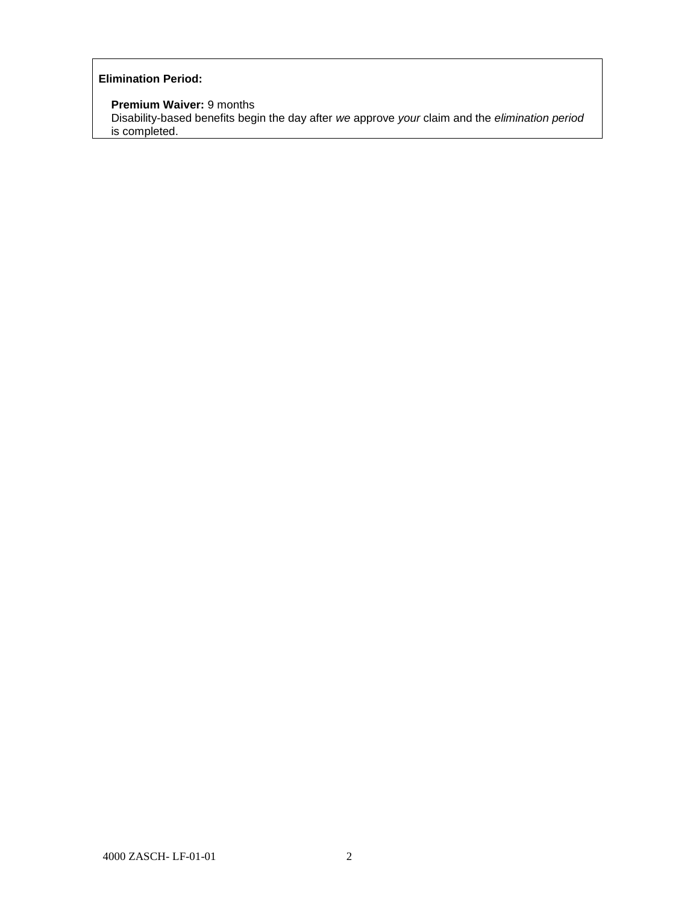# **Elimination Period:**

 **Premium Waiver:** 9 months

 Disability-based benefits begin the day after *we* approve *your* claim and the *elimination period* is completed.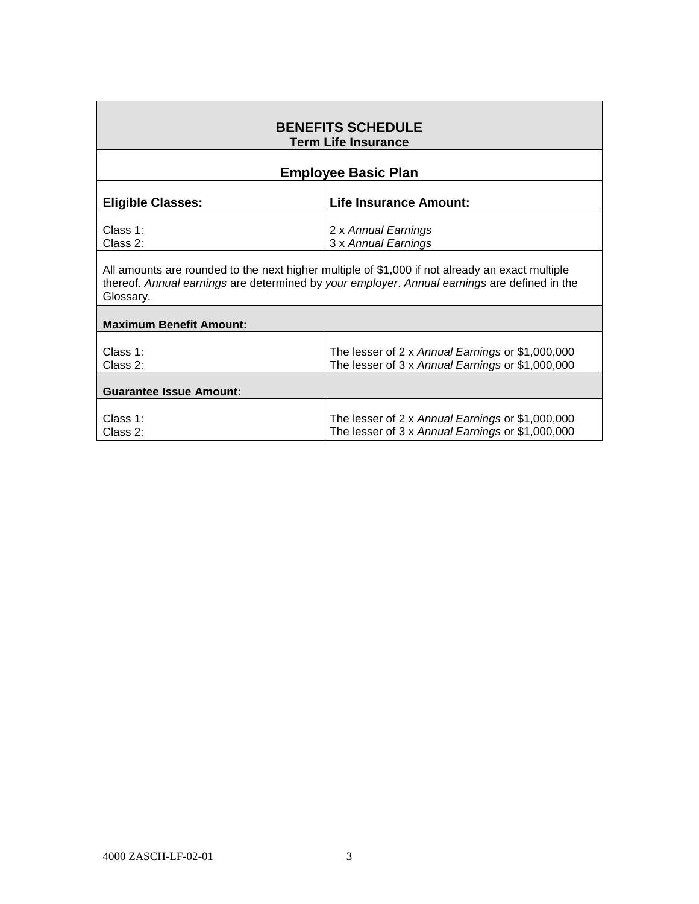| <b>BENEFITS SCHEDULE</b><br><b>Term Life Insurance</b>                                                                                                                                                       |                                                                                                      |  |  |
|--------------------------------------------------------------------------------------------------------------------------------------------------------------------------------------------------------------|------------------------------------------------------------------------------------------------------|--|--|
| <b>Employee Basic Plan</b>                                                                                                                                                                                   |                                                                                                      |  |  |
| <b>Eligible Classes:</b>                                                                                                                                                                                     | <b>Life Insurance Amount:</b>                                                                        |  |  |
| Class 1:<br>Class 2:                                                                                                                                                                                         | 2 x Annual Earnings<br>3 x Annual Earnings                                                           |  |  |
| All amounts are rounded to the next higher multiple of \$1,000 if not already an exact multiple<br>thereof. Annual earnings are determined by your employer. Annual earnings are defined in the<br>Glossary. |                                                                                                      |  |  |
| <b>Maximum Benefit Amount:</b>                                                                                                                                                                               |                                                                                                      |  |  |
| Class $1$ :<br>Class 2:                                                                                                                                                                                      | The lesser of 2 x Annual Earnings or \$1,000,000<br>The lesser of 3 x Annual Earnings or \$1,000,000 |  |  |
| <b>Guarantee Issue Amount:</b>                                                                                                                                                                               |                                                                                                      |  |  |
| Class $1$ :<br>Class 2:                                                                                                                                                                                      | The lesser of 2 x Annual Earnings or \$1,000,000<br>The lesser of 3 x Annual Earnings or \$1,000,000 |  |  |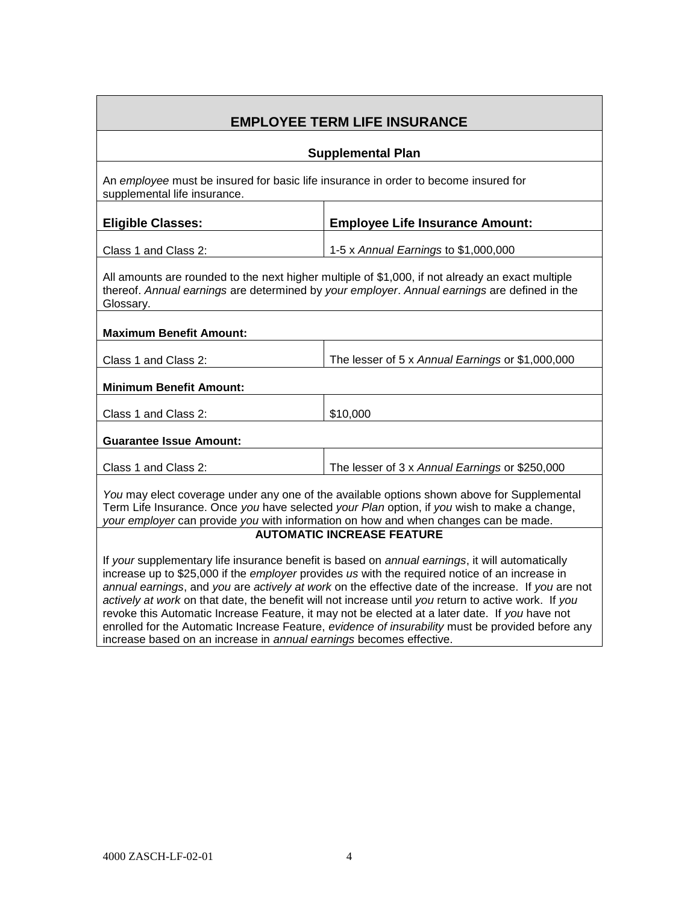| <b>EMPLOYEE TERM LIFE INSURANCE</b>                                                                                                                                                                                                                                                                                                                                                                                                                                                                                                                                                                                                                                                            |                                                  |  |
|------------------------------------------------------------------------------------------------------------------------------------------------------------------------------------------------------------------------------------------------------------------------------------------------------------------------------------------------------------------------------------------------------------------------------------------------------------------------------------------------------------------------------------------------------------------------------------------------------------------------------------------------------------------------------------------------|--------------------------------------------------|--|
| <b>Supplemental Plan</b>                                                                                                                                                                                                                                                                                                                                                                                                                                                                                                                                                                                                                                                                       |                                                  |  |
| An employee must be insured for basic life insurance in order to become insured for<br>supplemental life insurance.                                                                                                                                                                                                                                                                                                                                                                                                                                                                                                                                                                            |                                                  |  |
| <b>Eligible Classes:</b>                                                                                                                                                                                                                                                                                                                                                                                                                                                                                                                                                                                                                                                                       | <b>Employee Life Insurance Amount:</b>           |  |
| Class 1 and Class 2:                                                                                                                                                                                                                                                                                                                                                                                                                                                                                                                                                                                                                                                                           | 1-5 x Annual Earnings to \$1,000,000             |  |
| All amounts are rounded to the next higher multiple of \$1,000, if not already an exact multiple<br>thereof. Annual earnings are determined by your employer. Annual earnings are defined in the<br>Glossary.                                                                                                                                                                                                                                                                                                                                                                                                                                                                                  |                                                  |  |
| <b>Maximum Benefit Amount:</b>                                                                                                                                                                                                                                                                                                                                                                                                                                                                                                                                                                                                                                                                 |                                                  |  |
| Class 1 and Class 2:                                                                                                                                                                                                                                                                                                                                                                                                                                                                                                                                                                                                                                                                           | The lesser of 5 x Annual Earnings or \$1,000,000 |  |
| <b>Minimum Benefit Amount:</b>                                                                                                                                                                                                                                                                                                                                                                                                                                                                                                                                                                                                                                                                 |                                                  |  |
| Class 1 and Class 2:                                                                                                                                                                                                                                                                                                                                                                                                                                                                                                                                                                                                                                                                           | \$10,000                                         |  |
| <b>Guarantee Issue Amount:</b>                                                                                                                                                                                                                                                                                                                                                                                                                                                                                                                                                                                                                                                                 |                                                  |  |
| Class 1 and Class 2:                                                                                                                                                                                                                                                                                                                                                                                                                                                                                                                                                                                                                                                                           | The lesser of 3 x Annual Earnings or \$250,000   |  |
| You may elect coverage under any one of the available options shown above for Supplemental<br>Term Life Insurance. Once you have selected your Plan option, if you wish to make a change,<br>your employer can provide you with information on how and when changes can be made.                                                                                                                                                                                                                                                                                                                                                                                                               |                                                  |  |
| <b>AUTOMATIC INCREASE FEATURE</b>                                                                                                                                                                                                                                                                                                                                                                                                                                                                                                                                                                                                                                                              |                                                  |  |
| If your supplementary life insurance benefit is based on annual earnings, it will automatically<br>increase up to \$25,000 if the employer provides us with the required notice of an increase in<br>annual earnings, and you are actively at work on the effective date of the increase. If you are not<br>actively at work on that date, the benefit will not increase until you return to active work. If you<br>revoke this Automatic Increase Feature, it may not be elected at a later date. If you have not<br>enrolled for the Automatic Increase Feature, evidence of insurability must be provided before any<br>increase based on an increase in annual earnings becomes effective. |                                                  |  |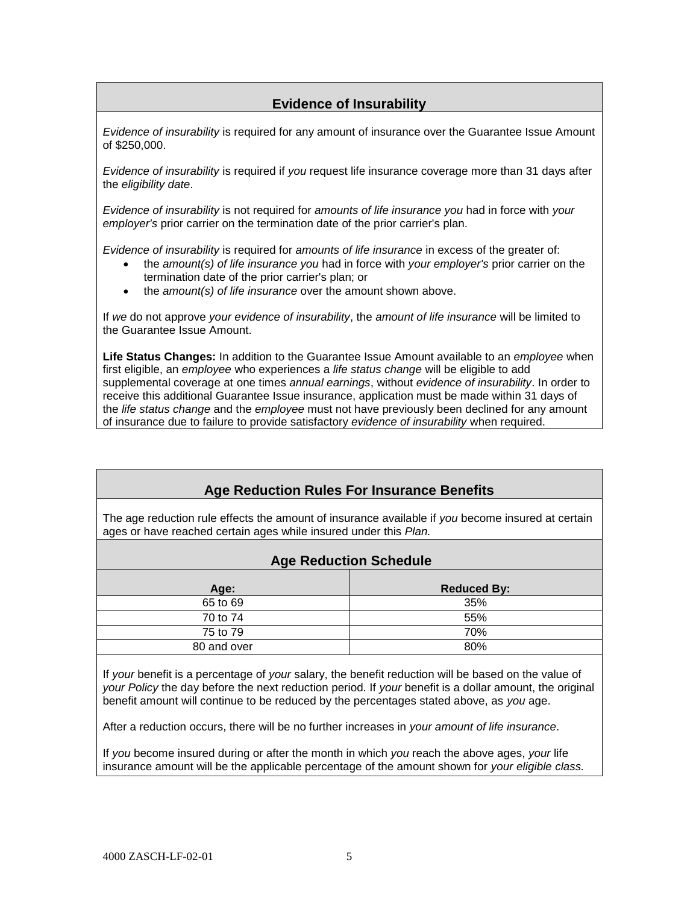# **Evidence of Insurability**

*Evidence of insurability* is required for any amount of insurance over the Guarantee Issue Amount of \$250,000.

*Evidence of insurability* is required if *you* request life insurance coverage more than 31 days after the *eligibility date*.

*Evidence of insurability* is not required for *amounts of life insurance you* had in force with *your employer's* prior carrier on the termination date of the prior carrier's plan.

*Evidence of insurability* is required for *amounts of life insurance* in excess of the greater of:

- the *amount(s) of life insurance you* had in force with *your employer's* prior carrier on the termination date of the prior carrier's plan; or
- the *amount(s) of life insurance* over the amount shown above.

If *we* do not approve *your evidence of insurability*, the *amount of life insurance* will be limited to the Guarantee Issue Amount.

**Life Status Changes:** In addition to the Guarantee Issue Amount available to an *employee* when first eligible, an *employee* who experiences a *life status change* will be eligible to add supplemental coverage at one times *annual earnings*, without *evidence of insurability*. In order to receive this additional Guarantee Issue insurance, application must be made within 31 days of the *life status change* and the *employee* must not have previously been declined for any amount of insurance due to failure to provide satisfactory *evidence of insurability* when required.

# **Age Reduction Rules For Insurance Benefits**

The age reduction rule effects the amount of insurance available if *you* become insured at certain ages or have reached certain ages while insured under this *Plan.* 

# **Age Reduction Schedule**

| Age:        | <b>Reduced By:</b> |
|-------------|--------------------|
| 65 to 69    | 35%                |
| 70 to 74    | 55%                |
| 75 to 79    | 70%                |
| 80 and over | 80%                |

If *your* benefit is a percentage of *your* salary, the benefit reduction will be based on the value of *your Policy* the day before the next reduction period. If *your* benefit is a dollar amount, the original benefit amount will continue to be reduced by the percentages stated above, as *you* age.

After a reduction occurs, there will be no further increases in *your amount of life insurance*.

If *you* become insured during or after the month in which *you* reach the above ages, *your* life insurance amount will be the applicable percentage of the amount shown for *your eligible class.*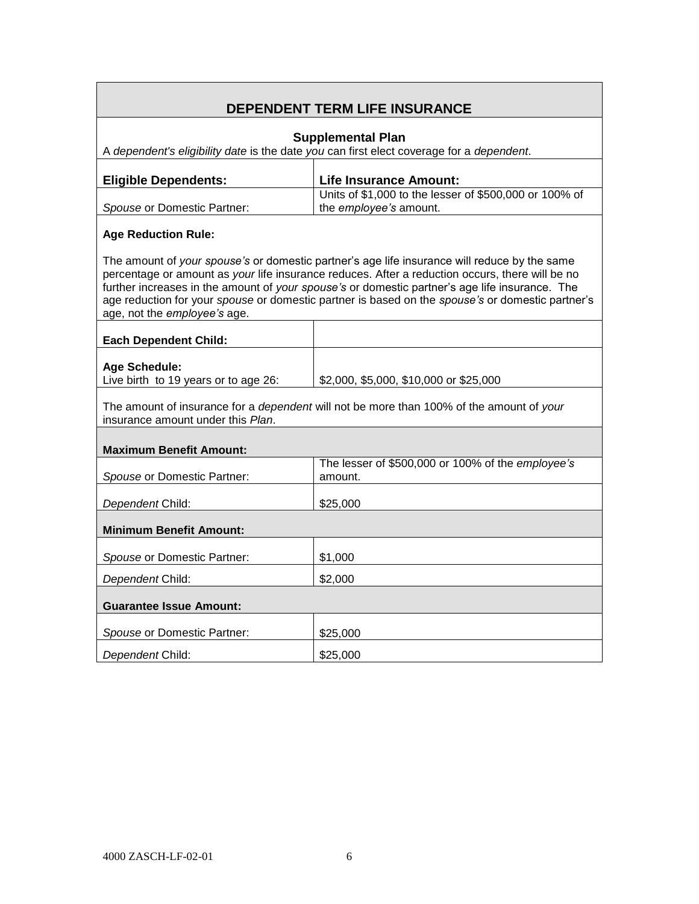# **DEPENDENT TERM LIFE INSURANCE Supplemental Plan** A *dependent's eligibility date* is the date *you* can first elect coverage for a *dependent*. **Eligible Dependents: Life Insurance Amount:** *Spouse* or Domestic Partner: Units of \$1,000 to the lesser of \$500,000 or 100% of the *employee's* amount. **Age Reduction Rule:** The amount of *your spouse's* or domestic partner's age life insurance will reduce by the same percentage or amount as *your* life insurance reduces. After a reduction occurs, there will be no further increases in the amount of *your spouse's* or domestic partner's age life insurance. The age reduction for your *spouse* or domestic partner is based on the *spouse's* or domestic partner's age, not the *employee's* age. **Each Dependent Child: Age Schedule:** Live birth to 19 years or to age  $26:$   $\vert$  \$2,000, \$5,000, \$10,000 or \$25,000 The amount of insurance for a *dependent* will not be more than 100% of the amount of *your* insurance amount under this *Plan*. **Maximum Benefit Amount:** *Spouse* or Domestic Partner: The lesser of \$500,000 or 100% of the *employee's* amount. **Dependent Child:**  $\begin{array}{|c|c|c|c|c|} \hline \text{$25,000}\end{array}$ **Minimum Benefit Amount: Spouse or Domestic Partner:** \$1,000 **Dependent Child:** \$2,000 **Guarantee Issue Amount: Spouse** or Domestic Partner:  $\vert$  \$25,000 **Dependent Child:**  $\begin{array}{|c|c|c|c|c|} \hline \text{$25,000}\hline \end{array}$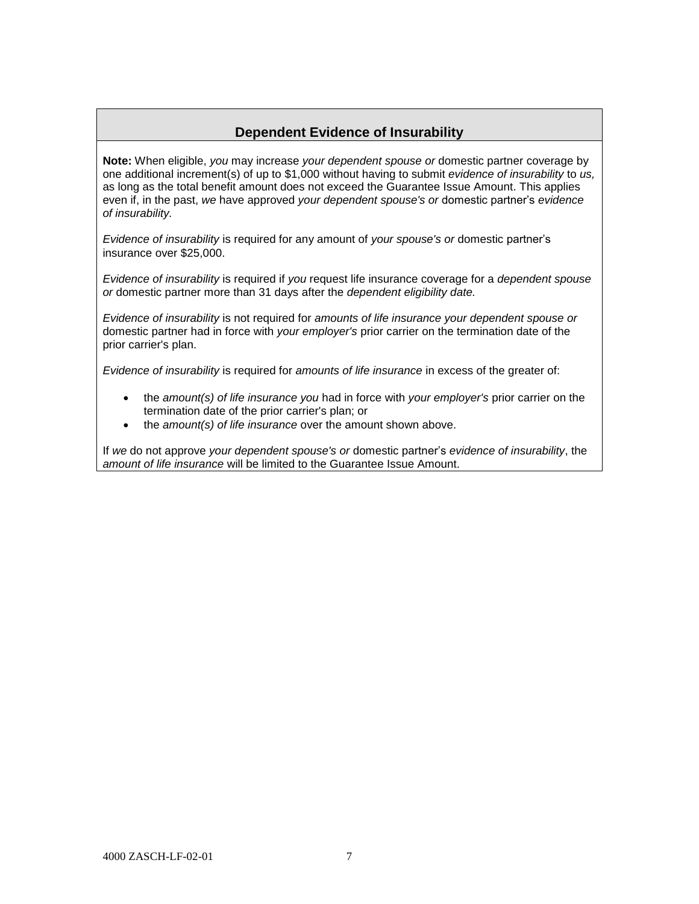# **Dependent Evidence of Insurability**

**Note:** When eligible, *you* may increase *your dependent spouse or* domestic partner coverage by one additional increment(s) of up to \$1,000 without having to submit *evidence of insurability* to *us,*  as long as the total benefit amount does not exceed the Guarantee Issue Amount. This applies even if, in the past, *we* have approved *your dependent spouse's or* domestic partner's *evidence of insurability.*

*Evidence of insurability* is required for any amount of *your spouse's or* domestic partner's insurance over \$25,000.

*Evidence of insurability* is required if *you* request life insurance coverage for a *dependent spouse or* domestic partner more than 31 days after the *dependent eligibility date.* 

*Evidence of insurability* is not required for *amounts of life insurance your dependent spouse or*  domestic partner had in force with *your employer's* prior carrier on the termination date of the prior carrier's plan.

*Evidence of insurability* is required for *amounts of life insurance* in excess of the greater of:

- the *amount(s) of life insurance you* had in force with *your employer's* prior carrier on the termination date of the prior carrier's plan; or
- the *amount(s) of life insurance* over the amount shown above.

If *we* do not approve *your dependent spouse's or* domestic partner's *evidence of insurability*, the *amount of life insurance* will be limited to the Guarantee Issue Amount.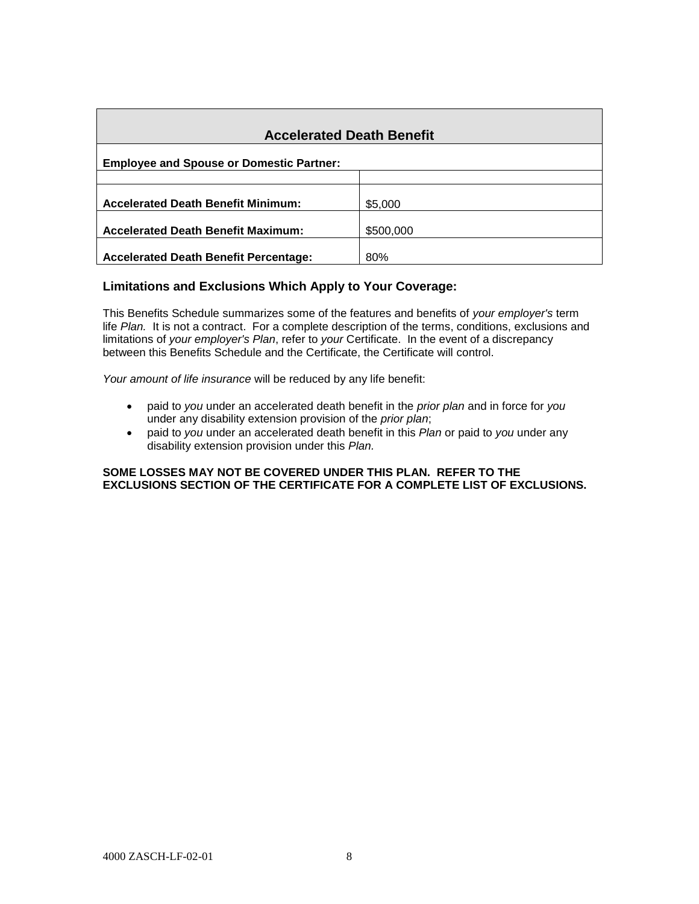| <b>Accelerated Death Benefit</b>                |           |  |  |
|-------------------------------------------------|-----------|--|--|
| <b>Employee and Spouse or Domestic Partner:</b> |           |  |  |
|                                                 |           |  |  |
| <b>Accelerated Death Benefit Minimum:</b>       | \$5,000   |  |  |
| <b>Accelerated Death Benefit Maximum:</b>       | \$500,000 |  |  |
| <b>Accelerated Death Benefit Percentage:</b>    | 80%       |  |  |

# **Limitations and Exclusions Which Apply to Your Coverage:**

This Benefits Schedule summarizes some of the features and benefits of *your employer's* term life *Plan.* It is not a contract. For a complete description of the terms, conditions, exclusions and limitations of *your employer's Plan*, refer to *your* Certificate. In the event of a discrepancy between this Benefits Schedule and the Certificate, the Certificate will control.

*Your amount of life insurance* will be reduced by any life benefit:

- paid to *you* under an accelerated death benefit in the *prior plan* and in force for *you*  under any disability extension provision of the *prior plan*;
- paid to *you* under an accelerated death benefit in this *Plan* or paid to *you* under any disability extension provision under this *Plan.*

#### **SOME LOSSES MAY NOT BE COVERED UNDER THIS PLAN. REFER TO THE EXCLUSIONS SECTION OF THE CERTIFICATE FOR A COMPLETE LIST OF EXCLUSIONS.**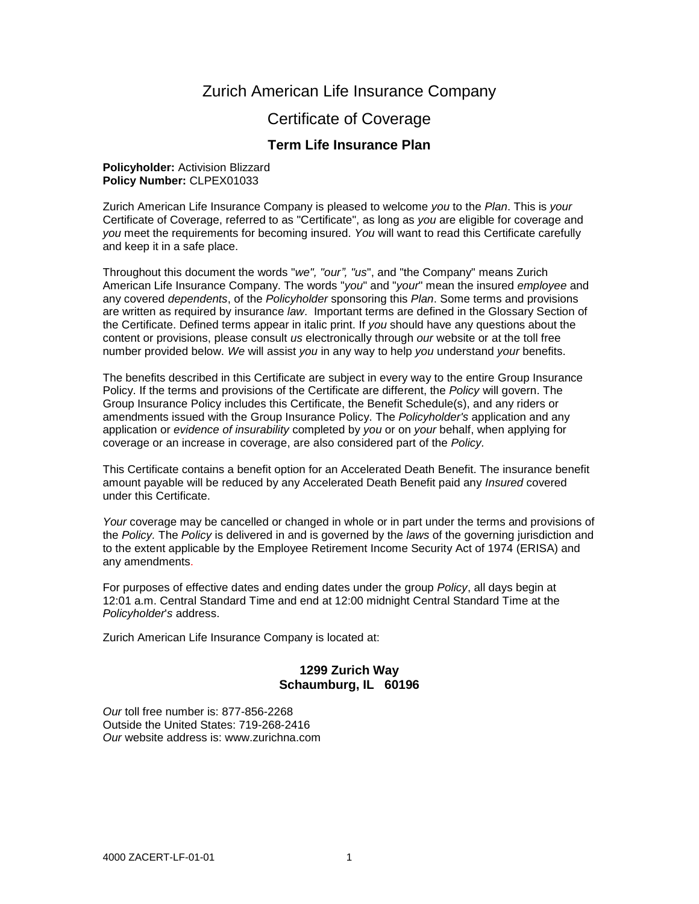# Zurich American Life Insurance Company

# Certificate of Coverage

# **Term Life Insurance Plan**

#### **Policyholder:** Activision Blizzard **Policy Number:** CLPEX01033

Zurich American Life Insurance Company is pleased to welcome *you* to the *Plan*. This is *your* Certificate of Coverage, referred to as "Certificate", as long as *you* are eligible for coverage and *you* meet the requirements for becoming insured. *You* will want to read this Certificate carefully and keep it in a safe place.

Throughout this document the words "*we", "our", "us*", and "the Company" means Zurich American Life Insurance Company. The words "*you*" and "*your*" mean the insured *employee* and any covered *dependents*, of the *Policyholder* sponsoring this *Plan*. Some terms and provisions are written as required by insurance *law*. Important terms are defined in the Glossary Section of the Certificate. Defined terms appear in italic print. If *you* should have any questions about the content or provisions, please consult *us* electronically through *our* website or at the toll free number provided below. *We* will assist *you* in any way to help *you* understand *your* benefits.

The benefits described in this Certificate are subject in every way to the entire Group Insurance Policy. If the terms and provisions of the Certificate are different, the *Policy* will govern. The Group Insurance Policy includes this Certificate, the Benefit Schedule(s), and any riders or amendments issued with the Group Insurance Policy. The *Policyholder's* application and any application or *evidence of insurability* completed by *you* or on *your* behalf, when applying for coverage or an increase in coverage, are also considered part of the *Policy.*

This Certificate contains a benefit option for an Accelerated Death Benefit. The insurance benefit amount payable will be reduced by any Accelerated Death Benefit paid any *Insured* covered under this Certificate.

*Your* coverage may be cancelled or changed in whole or in part under the terms and provisions of the *Policy.* The *Policy* is delivered in and is governed by the *laws* of the governing jurisdiction and to the extent applicable by the Employee Retirement Income Security Act of 1974 (ERISA) and any amendments.

For purposes of effective dates and ending dates under the group *Policy*, all days begin at 12:01 a.m. Central Standard Time and end at 12:00 midnight Central Standard Time at the *Policyholder*'*s* address.

Zurich American Life Insurance Company is located at:

# **1299 Zurich Way Schaumburg, IL 60196**

*Our* toll free number is: 877-856-2268 Outside the United States: 719-268-2416 *Our* website address is: www.zurichna.com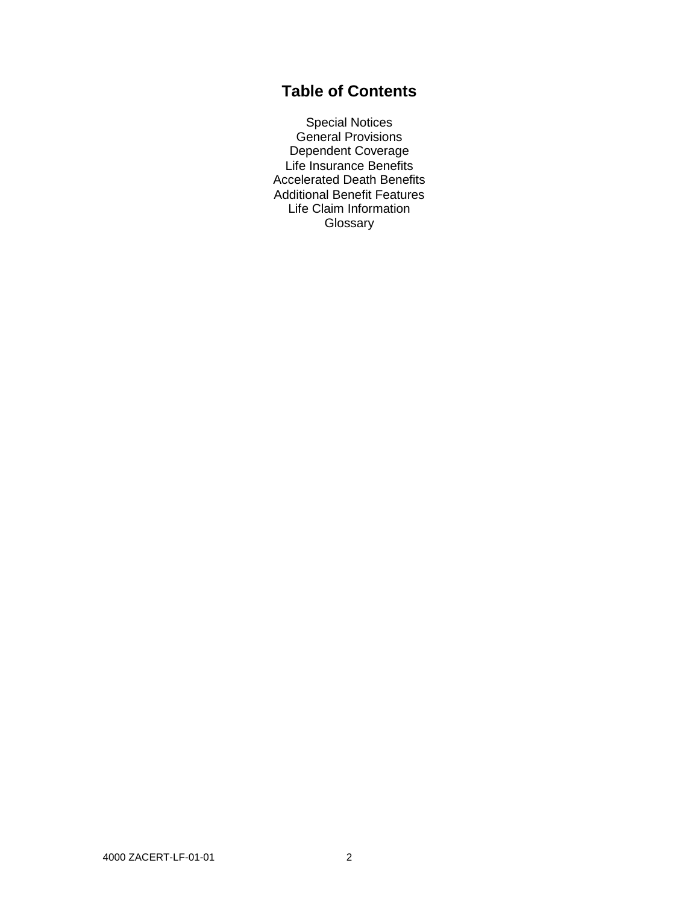# **Table of Contents**

Special Notices General Provisions Dependent Coverage Life Insurance Benefits Accelerated Death Benefits Additional Benefit Features Life Claim Information **Glossary**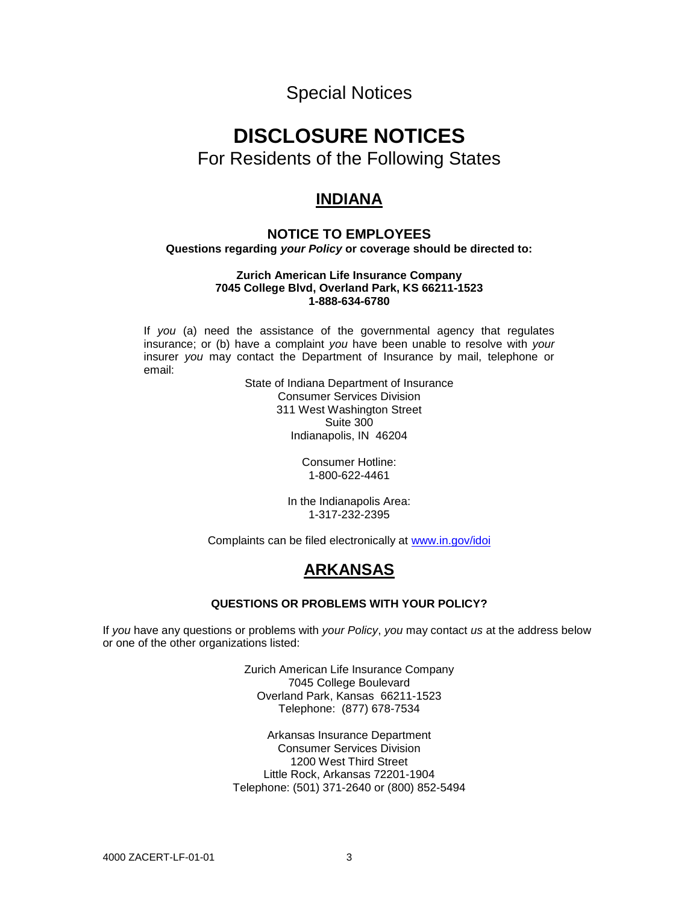Special Notices

# **DISCLOSURE NOTICES**

For Residents of the Following States

# **INDIANA**

# **NOTICE TO EMPLOYEES Questions regarding** *your Policy* **or coverage should be directed to:**

#### **Zurich American Life Insurance Company 7045 College Blvd, Overland Park, KS 66211-1523 1-888-634-6780**

If *you* (a) need the assistance of the governmental agency that regulates insurance; or (b) have a complaint *you* have been unable to resolve with *your*  insurer *you* may contact the Department of Insurance by mail, telephone or email:

State of Indiana Department of Insurance Consumer Services Division 311 West Washington Street Suite 300 Indianapolis, IN 46204

> Consumer Hotline: 1-800-622-4461

In the Indianapolis Area: 1-317-232-2395

Complaints can be filed electronically at [www.in.gov/idoi](http://www.in.gov/idoi)

# **ARKANSAS**

# **QUESTIONS OR PROBLEMS WITH YOUR POLICY?**

If *you* have any questions or problems with *your Policy*, *you* may contact *us* at the address below or one of the other organizations listed:

> Zurich American Life Insurance Company 7045 College Boulevard Overland Park, Kansas 66211-1523 Telephone: (877) 678-7534

Arkansas Insurance Department Consumer Services Division 1200 West Third Street Little Rock, Arkansas 72201-1904 Telephone: (501) 371-2640 or (800) 852-5494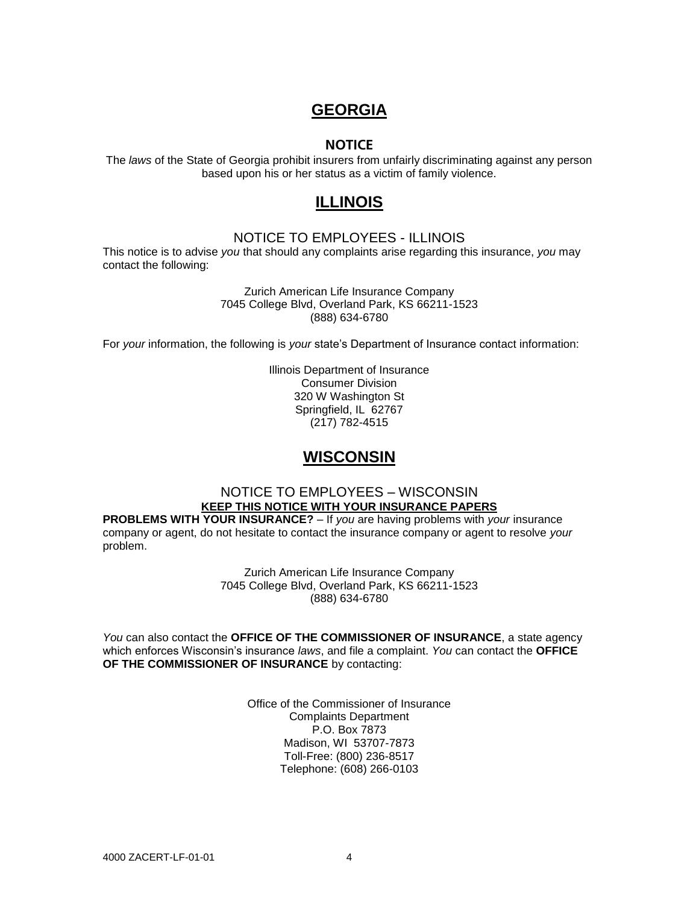# **GEORGIA**

# **NOTICE**

The *laws* of the State of Georgia prohibit insurers from unfairly discriminating against any person based upon his or her status as a victim of family violence.

# **ILLINOIS**

# NOTICE TO EMPLOYEES - ILLINOIS

This notice is to advise *you* that should any complaints arise regarding this insurance, *you* may contact the following:

> Zurich American Life Insurance Company 7045 College Blvd, Overland Park, KS 66211-1523 (888) 634-6780

For *your* information, the following is *your* state's Department of Insurance contact information:

Illinois Department of Insurance Consumer Division 320 W Washington St Springfield, IL 62767 (217) 782-4515

# **WISCONSIN**

## NOTICE TO EMPLOYEES – WISCONSIN **KEEP THIS NOTICE WITH YOUR INSURANCE PAPERS**

**PROBLEMS WITH YOUR INSURANCE?** – If *you* are having problems with *your* insurance company or agent, do not hesitate to contact the insurance company or agent to resolve *your*  problem.

> Zurich American Life Insurance Company 7045 College Blvd, Overland Park, KS 66211-1523 (888) 634-6780

*You* can also contact the **OFFICE OF THE COMMISSIONER OF INSURANCE**, a state agency which enforces Wisconsin's insurance *laws*, and file a complaint. *You* can contact the **OFFICE OF THE COMMISSIONER OF INSURANCE** by contacting:

> Office of the Commissioner of Insurance Complaints Department P.O. Box 7873 Madison, WI 53707-7873 Toll-Free: (800) 236-8517 Telephone: (608) 266-0103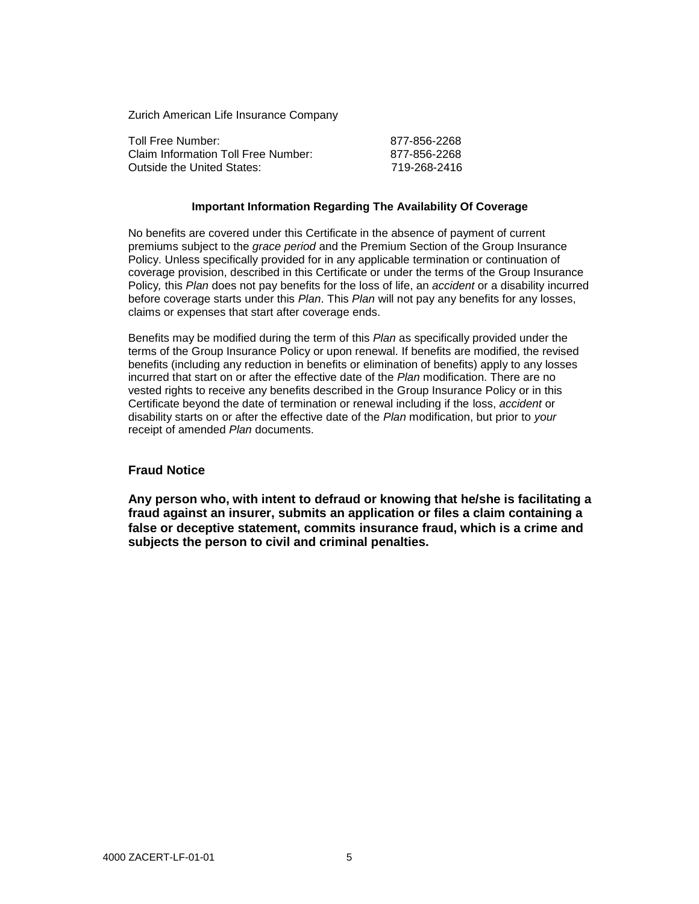Zurich American Life Insurance Company

| Toll Free Number:                   | 877-856-2268 |
|-------------------------------------|--------------|
| Claim Information Toll Free Number: | 877-856-2268 |
| Outside the United States:          | 719-268-2416 |

#### **Important Information Regarding The Availability Of Coverage**

No benefits are covered under this Certificate in the absence of payment of current premiums subject to the *grace period* and the Premium Section of the Group Insurance Policy. Unless specifically provided for in any applicable termination or continuation of coverage provision, described in this Certificate or under the terms of the Group Insurance Policy*,* this *Plan* does not pay benefits for the loss of life, an *accident* or a disability incurred before coverage starts under this *Plan*. This *Plan* will not pay any benefits for any losses, claims or expenses that start after coverage ends.

Benefits may be modified during the term of this *Plan* as specifically provided under the terms of the Group Insurance Policy or upon renewal. If benefits are modified, the revised benefits (including any reduction in benefits or elimination of benefits) apply to any losses incurred that start on or after the effective date of the *Plan* modification. There are no vested rights to receive any benefits described in the Group Insurance Policy or in this Certificate beyond the date of termination or renewal including if the loss, *accident* or disability starts on or after the effective date of the *Plan* modification, but prior to *your* receipt of amended *Plan* documents.

#### **Fraud Notice**

**Any person who, with intent to defraud or knowing that he/she is facilitating a fraud against an insurer, submits an application or files a claim containing a false or deceptive statement, commits insurance fraud, which is a crime and subjects the person to civil and criminal penalties.**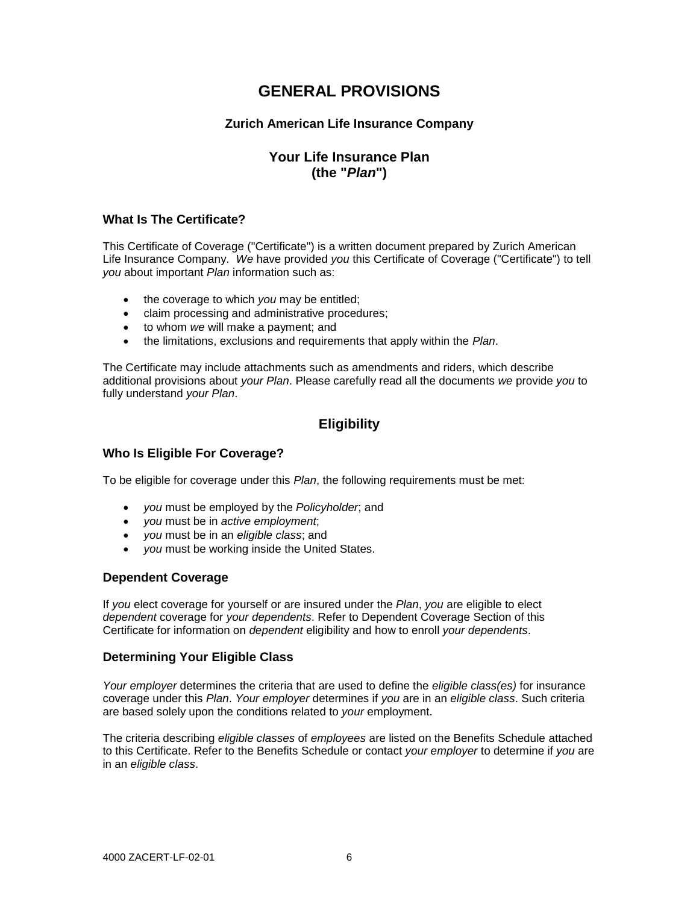# **GENERAL PROVISIONS**

# **Zurich American Life Insurance Company**

# **Your Life Insurance Plan (the "***Plan***")**

# **What Is The Certificate?**

This Certificate of Coverage ("Certificate") is a written document prepared by Zurich American Life Insurance Company. *We* have provided *you* this Certificate of Coverage ("Certificate") to tell *you* about important *Plan* information such as:

- the coverage to which *you* may be entitled;
- claim processing and administrative procedures;
- to whom *we* will make a payment; and
- the limitations, exclusions and requirements that apply within the *Plan*.

The Certificate may include attachments such as amendments and riders, which describe additional provisions about *your Plan*. Please carefully read all the documents *we* provide *you* to fully understand *your Plan*.

# **Eligibility**

## **Who Is Eligible For Coverage?**

To be eligible for coverage under this *Plan*, the following requirements must be met:

- *you* must be employed by the *Policyholder*; and
- *you* must be in *active employment*;
- *you* must be in an *eligible class*; and
- *you* must be working inside the United States.

## **Dependent Coverage**

If *you* elect coverage for yourself or are insured under the *Plan*, *you* are eligible to elect *dependent* coverage for *your dependents*. Refer to Dependent Coverage Section of this Certificate for information on *dependent* eligibility and how to enroll *your dependents*.

## **Determining Your Eligible Class**

*Your employer* determines the criteria that are used to define the *eligible class(es)* for insurance coverage under this *Plan*. *Your employer* determines if *you* are in an *eligible class*. Such criteria are based solely upon the conditions related to *your* employment.

The criteria describing *eligible classes* of *employees* are listed on the Benefits Schedule attached to this Certificate. Refer to the Benefits Schedule or contact *your employer* to determine if *you* are in an *eligible class*.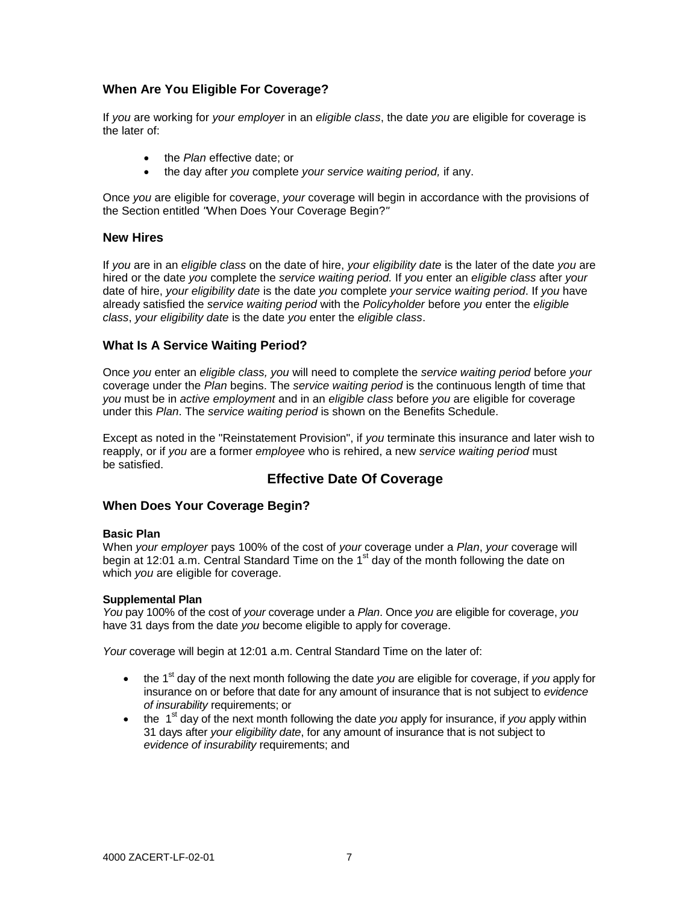# **When Are You Eligible For Coverage?**

If *you* are working for *your employer* in an *eligible class*, the date *you* are eligible for coverage is the later of:

- the *Plan* effective date; or
- the day after *you* complete *your service waiting period,* if any.

Once *you* are eligible for coverage, *your* coverage will begin in accordance with the provisions of the Section entitled *"*When Does Your Coverage Begin?*"*

## **New Hires**

If *you* are in an *eligible class* on the date of hire, *your eligibility date* is the later of the date *you* are hired or the date *you* complete the *service waiting period.* If *you* enter an *eligible class* after *your* date of hire, *your eligibility date* is the date *you* complete *your service waiting period*. If *you* have already satisfied the *service waiting period* with the *Policyholder* before *you* enter the *eligible class*, *your eligibility date* is the date *you* enter the *eligible class*.

# **What Is A Service Waiting Period?**

Once *you* enter an *eligible class, you* will need to complete the *service waiting period* before *your* coverage under the *Plan* begins. The *service waiting period* is the continuous length of time that *you* must be in *active employment* and in an *eligible class* before *you* are eligible for coverage under this *Plan*. The *service waiting period* is shown on the Benefits Schedule.

Except as noted in the "Reinstatement Provision", if *you* terminate this insurance and later wish to reapply, or if *you* are a former *employee* who is rehired, a new *service waiting period* must be satisfied.

# **Effective Date Of Coverage**

## **When Does Your Coverage Begin?**

#### **Basic Plan**

When *your employer* pays 100% of the cost of *your* coverage under a *Plan*, *your* coverage will begin at 12:01 a.m. Central Standard Time on the 1<sup>st</sup> day of the month following the date on which *you* are eligible for coverage.

#### **Supplemental Plan**

*You* pay 100% of the cost of *your* coverage under a *Plan*. Once *you* are eligible for coverage, *you* have 31 days from the date *you* become eligible to apply for coverage.

*Your* coverage will begin at 12:01 a.m. Central Standard Time on the later of:

- the 1<sup>st</sup> day of the next month following the date *you* are eligible for coverage, if *you* apply for insurance on or before that date for any amount of insurance that is not subject to *evidence of insurability* requirements; or
- $\bullet$  the 1<sup>st</sup> day of the next month following the date *you* apply for insurance, if *you* apply within 31 days after *your eligibility date*, for any amount of insurance that is not subject to *evidence of insurability* requirements; and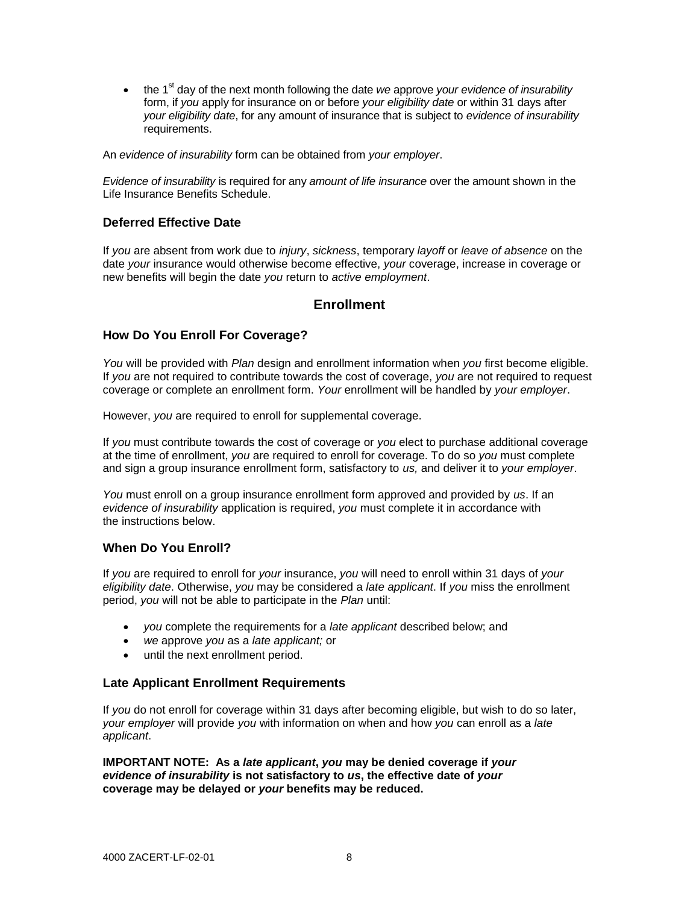• the 1<sup>st</sup> day of the next month following the date *we* approve *your evidence of insurability* form, if *you* apply for insurance on or before *your eligibility date* or within 31 days after *your eligibility date*, for any amount of insurance that is subject to *evidence of insurability* requirements.

An *evidence of insurability* form can be obtained from *your employer*.

*Evidence of insurability* is required for any *amount of life insurance* over the amount shown in the Life Insurance Benefits Schedule.

# **Deferred Effective Date**

If *you* are absent from work due to *injury*, *sickness*, temporary *layoff* or *leave of absence* on the date *your* insurance would otherwise become effective, *your* coverage, increase in coverage or new benefits will begin the date *you* return to *active employment*.

# **Enrollment**

## **How Do You Enroll For Coverage?**

*You* will be provided with *Plan* design and enrollment information when *you* first become eligible. If *you* are not required to contribute towards the cost of coverage, *you* are not required to request coverage or complete an enrollment form. *Your* enrollment will be handled by *your employer*.

However, *you* are required to enroll for supplemental coverage.

If *you* must contribute towards the cost of coverage or *you* elect to purchase additional coverage at the time of enrollment, *you* are required to enroll for coverage. To do so *you* must complete and sign a group insurance enrollment form, satisfactory to *us,* and deliver it to *your employer*.

*You* must enroll on a group insurance enrollment form approved and provided by *us*. If an *evidence of insurability* application is required, *you* must complete it in accordance with the instructions below.

## **When Do You Enroll?**

If *you* are required to enroll for *your* insurance, *you* will need to enroll within 31 days of *your eligibility date*. Otherwise, *you* may be considered a *late applicant*. If *you* miss the enrollment period, *you* will not be able to participate in the *Plan* until:

- *you* complete the requirements for a *late applicant* described below; and
- *we* approve *you* as a *late applicant;* or
- until the next enrollment period.

#### **Late Applicant Enrollment Requirements**

If *you* do not enroll for coverage within 31 days after becoming eligible, but wish to do so later, *your employer* will provide *you* with information on when and how *you* can enroll as a *late applicant*.

**IMPORTANT NOTE: As a** *late applicant***,** *you* **may be denied coverage if** *your evidence of insurability* **is not satisfactory to** *us***, the effective date of** *your* **coverage may be delayed or** *your* **benefits may be reduced.**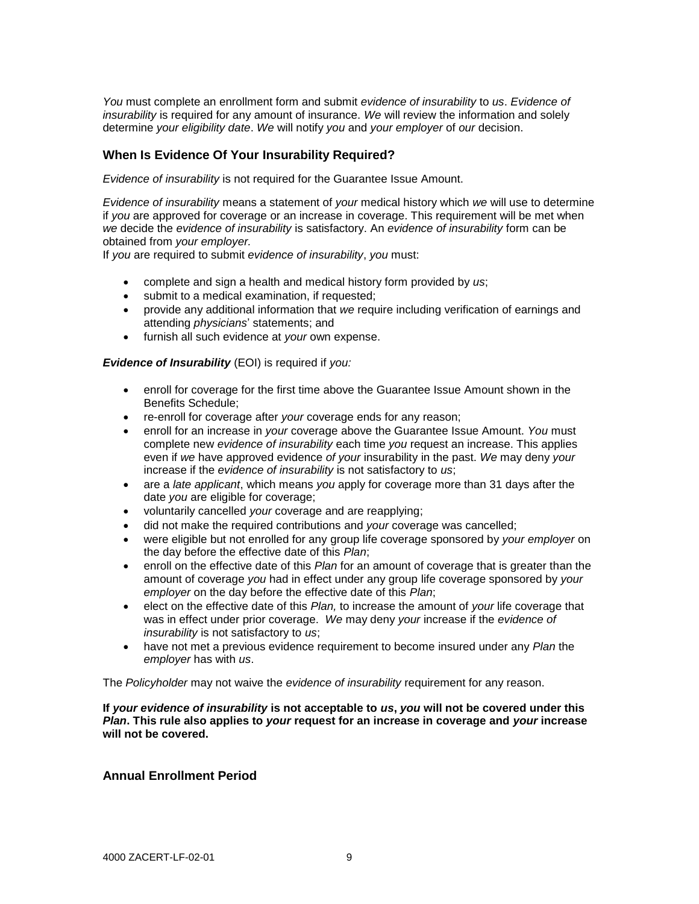*You* must complete an enrollment form and submit *evidence of insurability* to *us*. *Evidence of insurability* is required for any amount of insurance. *We* will review the information and solely determine *your eligibility date*. *We* will notify *you* and *your employer* of *our* decision.

#### **When Is Evidence Of Your Insurability Required?**

*Evidence of insurability* is not required for the Guarantee Issue Amount.

*Evidence of insurability* means a statement of *your* medical history which *we* will use to determine if *you* are approved for coverage or an increase in coverage. This requirement will be met when *we* decide the *evidence of insurability* is satisfactory. An *evidence of insurability* form can be obtained from *your employer.*

If *you* are required to submit *evidence of insurability*, *you* must:

- complete and sign a health and medical history form provided by *us*;
- submit to a medical examination, if requested;
- provide any additional information that *we* require including verification of earnings and attending *physicians*' statements; and
- furnish all such evidence at *your* own expense.

*Evidence of Insurability* (EOI) is required if *you:*

- enroll for coverage for the first time above the Guarantee Issue Amount shown in the Benefits Schedule;
- re-enroll for coverage after *your* coverage ends for any reason;
- enroll for an increase in *your* coverage above the Guarantee Issue Amount. *You* must complete new *evidence of insurability* each time *you* request an increase. This applies even if *we* have approved evidence *of your* insurability in the past. *We* may deny *your* increase if the *evidence of insurability* is not satisfactory to *us*;
- are a *late applicant*, which means *you* apply for coverage more than 31 days after the date *you* are eligible for coverage;
- voluntarily cancelled *your* coverage and are reapplying;
- did not make the required contributions and *your* coverage was cancelled;
- were eligible but not enrolled for any group life coverage sponsored by *your employer* on the day before the effective date of this *Plan*;
- enroll on the effective date of this *Plan* for an amount of coverage that is greater than the amount of coverage *you* had in effect under any group life coverage sponsored by *your employer* on the day before the effective date of this *Plan*;
- elect on the effective date of this *Plan,* to increase the amount of *your* life coverage that was in effect under prior coverage. *We* may deny *your* increase if the *evidence of insurability* is not satisfactory to *us*;
- have not met a previous evidence requirement to become insured under any *Plan* the *employer* has with *us*.

The *Policyholder* may not waive the *evidence of insurability* requirement for any reason.

**If** *your evidence of insurability* **is not acceptable to** *us***,** *you* **will not be covered under this**  *Plan***. This rule also applies to** *your* **request for an increase in coverage and** *your* **increase will not be covered.**

#### **Annual Enrollment Period**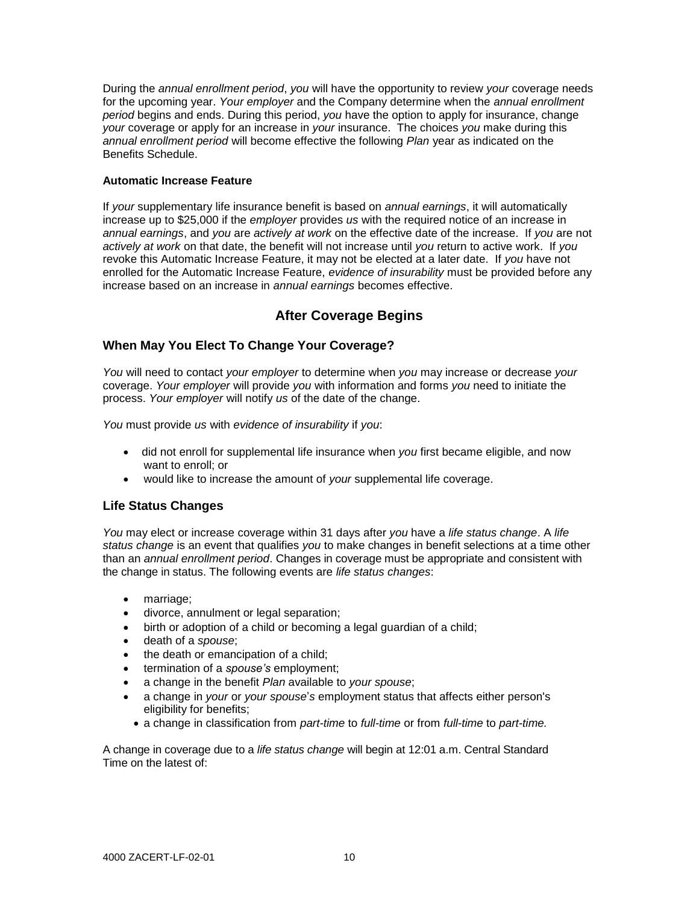During the *annual enrollment period*, *you* will have the opportunity to review *your* coverage needs for the upcoming year. *Your employer* and the Company determine when the *annual enrollment period* begins and ends. During this period, *you* have the option to apply for insurance, change *your* coverage or apply for an increase in *your* insurance. The choices *you* make during this *annual enrollment period* will become effective the following *Plan* year as indicated on the Benefits Schedule.

#### **Automatic Increase Feature**

If *your* supplementary life insurance benefit is based on *annual earnings*, it will automatically increase up to \$25,000 if the *employer* provides *us* with the required notice of an increase in *annual earnings*, and *you* are *actively at work* on the effective date of the increase. If *you* are not *actively at work* on that date, the benefit will not increase until *you* return to active work. If *you*  revoke this Automatic Increase Feature, it may not be elected at a later date. If *you* have not enrolled for the Automatic Increase Feature, *evidence of insurability* must be provided before any increase based on an increase in *annual earnings* becomes effective.

# **After Coverage Begins**

# **When May You Elect To Change Your Coverage?**

*You* will need to contact *your employer* to determine when *you* may increase or decrease *your* coverage. *Your employer* will provide *you* with information and forms *you* need to initiate the process. *Your employer* will notify *us* of the date of the change.

*You* must provide *us* with *evidence of insurability* if *you*:

- did not enroll for supplemental life insurance when *you* first became eligible, and now want to enroll; or
- would like to increase the amount of *your* supplemental life coverage.

# **Life Status Changes**

*You* may elect or increase coverage within 31 days after *you* have a *life status change*. A *life status change* is an event that qualifies *you* to make changes in benefit selections at a time other than an *annual enrollment period*. Changes in coverage must be appropriate and consistent with the change in status. The following events are *life status changes*:

- marriage;
- divorce, annulment or legal separation;
- birth or adoption of a child or becoming a legal guardian of a child;
- death of a *spouse*;
- the death or emancipation of a child;
- termination of a *spouse's* employment;
- a change in the benefit *Plan* available to *your spouse*;
- a change in *your* or *your spouse*'*s* employment status that affects either person's eligibility for benefits;
	- a change in classification from *part-time* to *full-time* or from *full-time* to *part-time.*

A change in coverage due to a *life status change* will begin at 12:01 a.m. Central Standard Time on the latest of: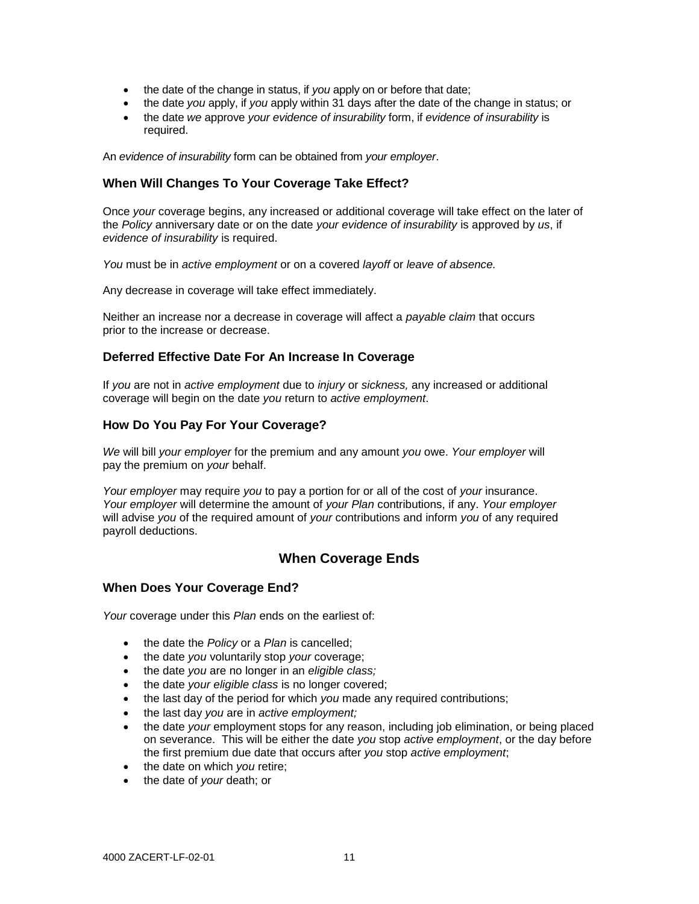- the date of the change in status, if *you* apply on or before that date;
- the date *you* apply, if *you* apply within 31 days after the date of the change in status; or
- the date *we* approve *your evidence of insurability* form, if *evidence of insurability* is required.

An *evidence of insurability* form can be obtained from *your employer*.

#### **When Will Changes To Your Coverage Take Effect?**

Once *your* coverage begins, any increased or additional coverage will take effect on the later of the *Policy* anniversary date or on the date *your evidence of insurability* is approved by *us*, if *evidence of insurability* is required.

*You* must be in *active employment* or on a covered *layoff* or *leave of absence.*

Any decrease in coverage will take effect immediately.

Neither an increase nor a decrease in coverage will affect a *payable claim* that occurs prior to the increase or decrease.

#### **Deferred Effective Date For An Increase In Coverage**

If *you* are not in *active employment* due to *injury* or *sickness,* any increased or additional coverage will begin on the date *you* return to *active employment*.

#### **How Do You Pay For Your Coverage?**

*We* will bill *your employer* for the premium and any amount *you* owe. *Your employer* will pay the premium on *your* behalf.

*Your employer* may require *you* to pay a portion for or all of the cost of *your* insurance. *Your employer* will determine the amount of *your Plan* contributions, if any. *Your employer* will advise *you* of the required amount of *your* contributions and inform *you* of any required payroll deductions.

# **When Coverage Ends**

#### **When Does Your Coverage End?**

*Your* coverage under this *Plan* ends on the earliest of:

- the date the *Policy* or a *Plan* is cancelled;
- the date *you* voluntarily stop *your* coverage;
- the date *you* are no longer in an *eligible class;*
- the date *your eligible class* is no longer covered;
- the last day of the period for which *you* made any required contributions;
- the last day *you* are in *active employment;*
- the date *your* employment stops for any reason, including job elimination, or being placed on severance. This will be either the date *you* stop *active employment*, or the day before the first premium due date that occurs after *you* stop *active employment*;
- the date on which *you* retire;
- the date of *your* death; or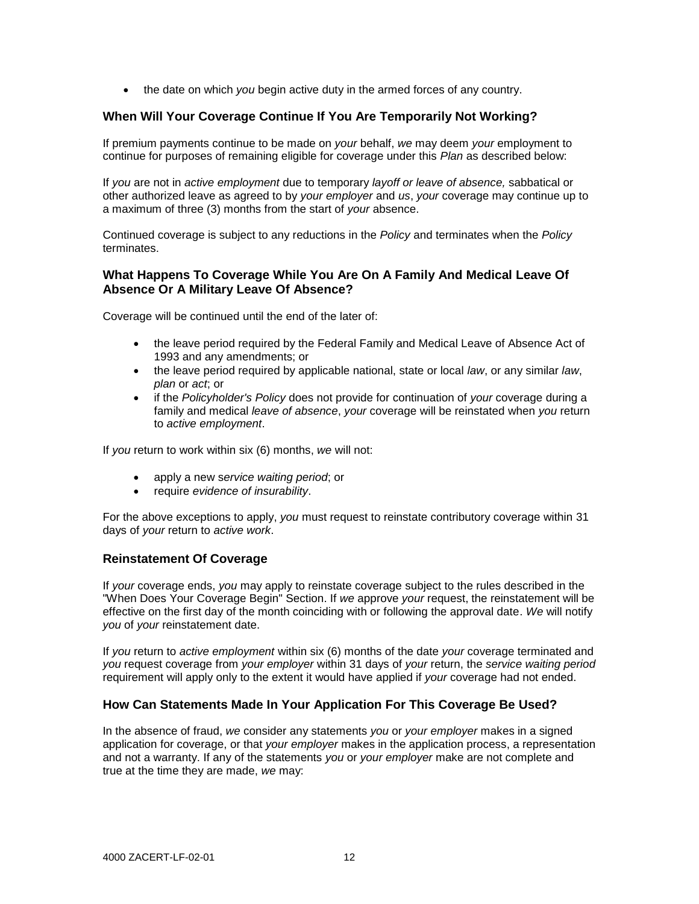the date on which *you* begin active duty in the armed forces of any country.

# **When Will Your Coverage Continue If You Are Temporarily Not Working?**

If premium payments continue to be made on *your* behalf, *we* may deem *your* employment to continue for purposes of remaining eligible for coverage under this *Plan* as described below:

If *you* are not in *active employment* due to temporary *layoff or leave of absence,* sabbatical or other authorized leave as agreed to by *your employer* and *us*, *your* coverage may continue up to a maximum of three (3) months from the start of *your* absence.

Continued coverage is subject to any reductions in the *Policy* and terminates when the *Policy* terminates.

## **What Happens To Coverage While You Are On A Family And Medical Leave Of Absence Or A Military Leave Of Absence?**

Coverage will be continued until the end of the later of:

- the leave period required by the Federal Family and Medical Leave of Absence Act of 1993 and any amendments; or
- the leave period required by applicable national, state or local *law*, or any similar *law*, *plan* or *act*; or
- if the *Policyholder's Policy* does not provide for continuation of *your* coverage during a family and medical *leave of absence*, *your* coverage will be reinstated when *you* return to *active employment*.

If *you* return to work within six (6) months, *we* will not:

- apply a new s*ervice waiting period*; or
- require *evidence of insurability*.

For the above exceptions to apply, *you* must request to reinstate contributory coverage within 31 days of *your* return to *active work*.

## **Reinstatement Of Coverage**

If *your* coverage ends, *you* may apply to reinstate coverage subject to the rules described in the "When Does Your Coverage Begin" Section. If *we* approve *your* request, the reinstatement will be effective on the first day of the month coinciding with or following the approval date. *We* will notify *you* of *your* reinstatement date.

If *you* return to *active employment* within six (6) months of the date *your* coverage terminated and *you* request coverage from *your employer* within 31 days of *your* return, the *service waiting period*  requirement will apply only to the extent it would have applied if *your* coverage had not ended.

## **How Can Statements Made In Your Application For This Coverage Be Used?**

In the absence of fraud, *we* consider any statements *you* or *your employer* makes in a signed application for coverage, or that *your employer* makes in the application process, a representation and not a warranty. If any of the statements *you* or *your employer* make are not complete and true at the time they are made, *we* may: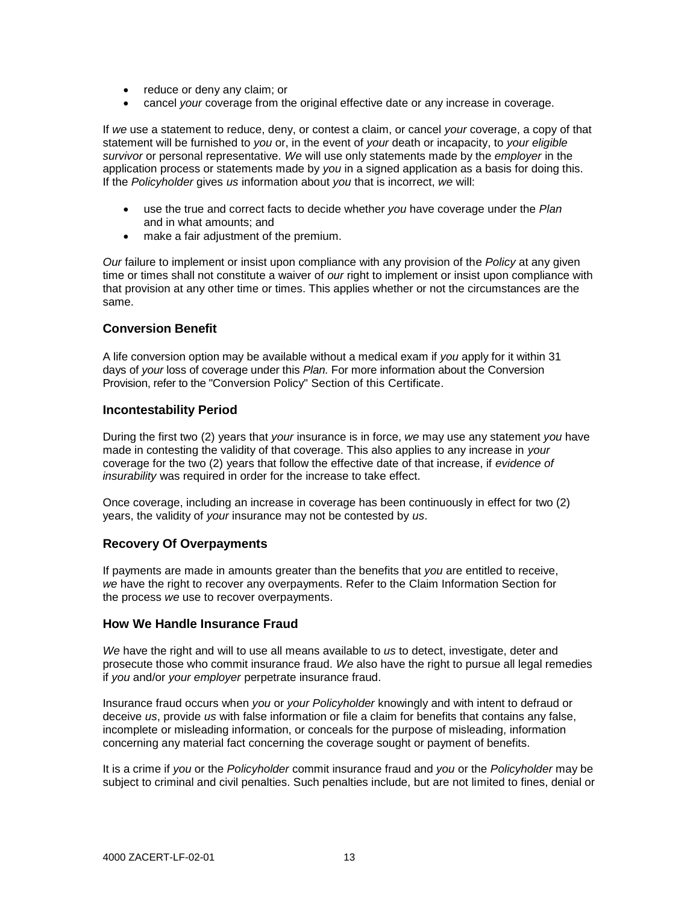- reduce or deny any claim; or
- cancel *your* coverage from the original effective date or any increase in coverage.

If *we* use a statement to reduce, deny, or contest a claim, or cancel *your* coverage, a copy of that statement will be furnished to *you* or, in the event of *your* death or incapacity, to *your eligible survivor* or personal representative. *We* will use only statements made by the *employer* in the application process or statements made by *you* in a signed application as a basis for doing this. If the *Policyholder* gives *us* information about *you* that is incorrect, *we* will:

- use the true and correct facts to decide whether *you* have coverage under the *Plan* and in what amounts; and
- make a fair adjustment of the premium.

*Our* failure to implement or insist upon compliance with any provision of the *Policy* at any given time or times shall not constitute a waiver of *our* right to implement or insist upon compliance with that provision at any other time or times. This applies whether or not the circumstances are the same.

#### **Conversion Benefit**

A life conversion option may be available without a medical exam if *you* apply for it within 31 days of *your* loss of coverage under this *Plan.* For more information about the Conversion Provision, refer to the "Conversion Policy" Section of this Certificate.

#### **Incontestability Period**

During the first two (2) years that *your* insurance is in force, *we* may use any statement *you* have made in contesting the validity of that coverage. This also applies to any increase in *your* coverage for the two (2) years that follow the effective date of that increase, if *evidence of insurability* was required in order for the increase to take effect.

Once coverage, including an increase in coverage has been continuously in effect for two (2) years, the validity of *your* insurance may not be contested by *us*.

## **Recovery Of Overpayments**

If payments are made in amounts greater than the benefits that *you* are entitled to receive, *we* have the right to recover any overpayments. Refer to the Claim Information Section for the process *we* use to recover overpayments.

## **How We Handle Insurance Fraud**

*We* have the right and will to use all means available to *us* to detect, investigate, deter and prosecute those who commit insurance fraud. *We* also have the right to pursue all legal remedies if *you* and/or *your employer* perpetrate insurance fraud.

Insurance fraud occurs when *you* or *your Policyholder* knowingly and with intent to defraud or deceive *us*, provide *us* with false information or file a claim for benefits that contains any false, incomplete or misleading information, or conceals for the purpose of misleading, information concerning any material fact concerning the coverage sought or payment of benefits.

It is a crime if *you* or the *Policyholder* commit insurance fraud and *you* or the *Policyholder* may be subject to criminal and civil penalties. Such penalties include, but are not limited to fines, denial or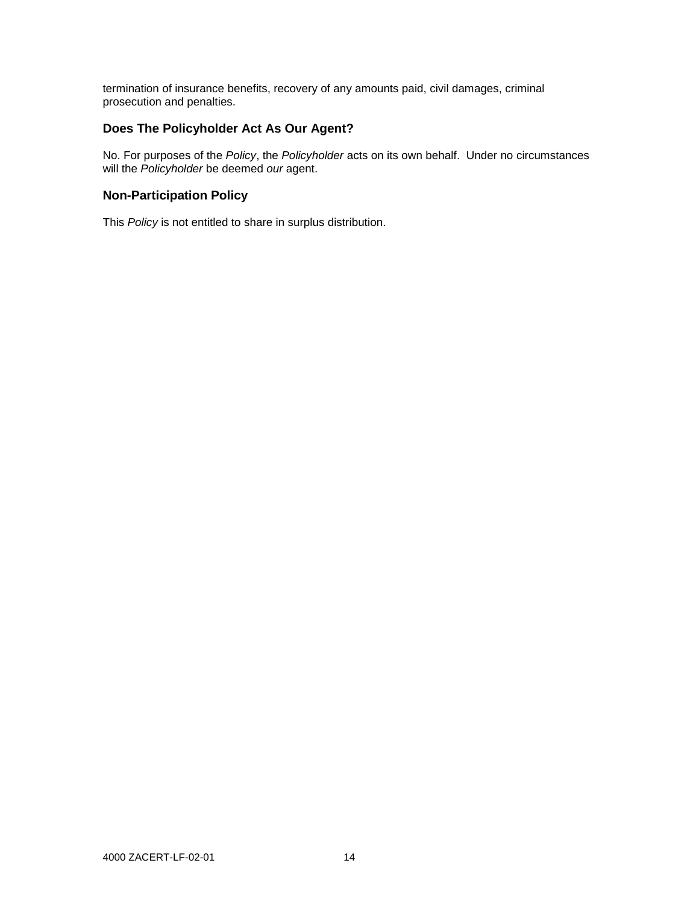termination of insurance benefits, recovery of any amounts paid, civil damages, criminal prosecution and penalties.

# **Does The Policyholder Act As Our Agent?**

No. For purposes of the *Policy*, the *Policyholder* acts on its own behalf. Under no circumstances will the *Policyholder* be deemed *our* agent.

# **Non-Participation Policy**

This *Policy* is not entitled to share in surplus distribution.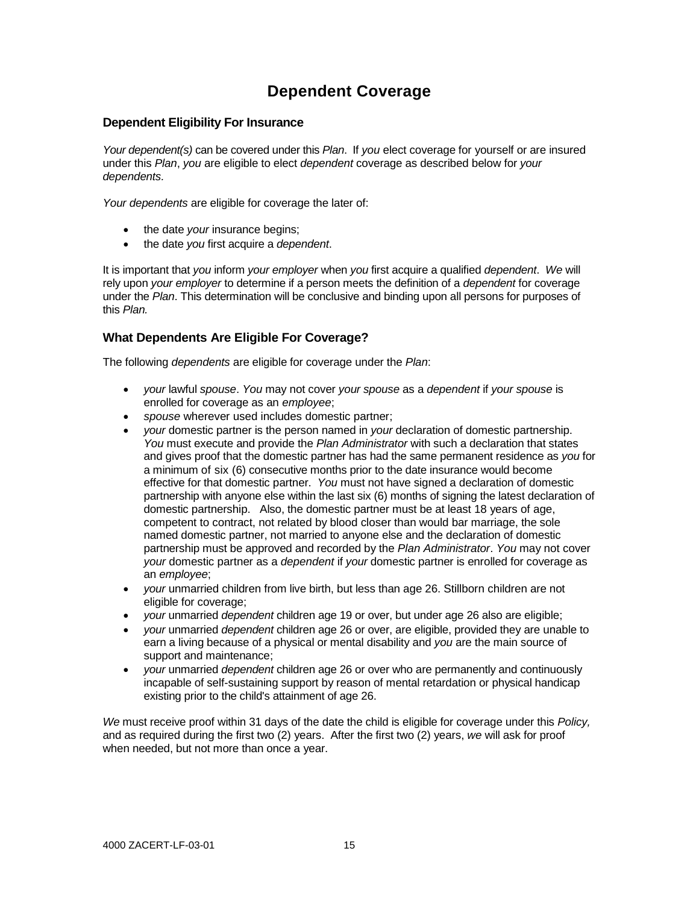# **Dependent Coverage**

## **Dependent Eligibility For Insurance**

*Your dependent(s)* can be covered under this *Plan*. If *you* elect coverage for yourself or are insured under this *Plan*, *you* are eligible to elect *dependent* coverage as described below for *your dependents.*

*Your dependents* are eligible for coverage the later of:

- the date *your* insurance begins;
- the date *you* first acquire a *dependent*.

It is important that *you* inform *your employer* when *you* first acquire a qualified *dependent*. *We* will rely upon *your employer* to determine if a person meets the definition of a *dependent* for coverage under the *Plan*. This determination will be conclusive and binding upon all persons for purposes of this *Plan.*

# **What Dependents Are Eligible For Coverage?**

The following *dependents* are eligible for coverage under the *Plan*:

- *your* lawful *spouse*. *You* may not cover *your spouse* as a *dependent* if *your spouse* is enrolled for coverage as an *employee*;
- *spouse* wherever used includes domestic partner;
- *your* domestic partner is the person named in *your* declaration of domestic partnership. *You* must execute and provide the *Plan Administrator* with such a declaration that states and gives proof that the domestic partner has had the same permanent residence as *you* for a minimum of six (6) consecutive months prior to the date insurance would become effective for that domestic partner. *You* must not have signed a declaration of domestic partnership with anyone else within the last six (6) months of signing the latest declaration of domestic partnership. Also, the domestic partner must be at least 18 years of age, competent to contract, not related by blood closer than would bar marriage, the sole named domestic partner, not married to anyone else and the declaration of domestic partnership must be approved and recorded by the *Plan Administrator*. *You* may not cover *your* domestic partner as a *dependent* if *your* domestic partner is enrolled for coverage as an *employee*;
- *your* unmarried children from live birth, but less than age 26. Stillborn children are not eligible for coverage;
- *your* unmarried *dependent* children age 19 or over, but under age 26 also are eligible;
- *your* unmarried *dependent* children age 26 or over, are eligible, provided they are unable to earn a living because of a physical or mental disability and *you* are the main source of support and maintenance;
- *your* unmarried *dependent* children age 26 or over who are permanently and continuously incapable of self-sustaining support by reason of mental retardation or physical handicap existing prior to the child's attainment of age 26.

*We* must receive proof within 31 days of the date the child is eligible for coverage under this *Policy,* and as required during the first two (2) years. After the first two (2) years, *we* will ask for proof when needed, but not more than once a year.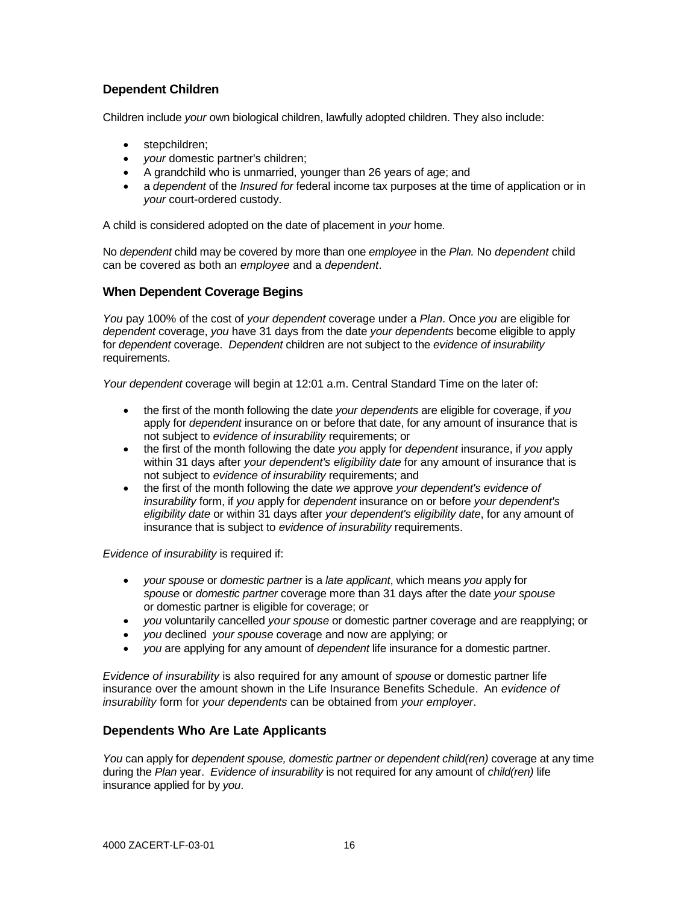# **Dependent Children**

Children include *your* own biological children, lawfully adopted children. They also include:

- stepchildren;
- *your* domestic partner's children;
- A grandchild who is unmarried, younger than 26 years of age; and
- a *dependent* of the *Insured for* federal income tax purposes at the time of application or in *your* court-ordered custody.

A child is considered adopted on the date of placement in *your* home.

No *dependent* child may be covered by more than one *employee* in the *Plan.* No *dependent* child can be covered as both an *employee* and a *dependent*.

## **When Dependent Coverage Begins**

*You* pay 100% of the cost of *your dependent* coverage under a *Plan*. Once *you* are eligible for *dependent* coverage, *you* have 31 days from the date *your dependents* become eligible to apply for *dependent* coverage. *Dependent* children are not subject to the *evidence of insurability* requirements.

*Your dependent* coverage will begin at 12:01 a.m. Central Standard Time on the later of:

- the first of the month following the date *your dependents* are eligible for coverage, if *you* apply for *dependent* insurance on or before that date, for any amount of insurance that is not subject to *evidence of insurability* requirements; or
- the first of the month following the date *you* apply for *dependent* insurance, if *you* apply within 31 days after *your dependent's eligibility date* for any amount of insurance that is not subject to *evidence of insurability* requirements; and
- the first of the month following the date *we* approve *your dependent's evidence of insurability* form, if *you* apply for *dependent* insurance on or before *your dependent's eligibility date* or within 31 days after *your dependent's eligibility date*, for any amount of insurance that is subject to *evidence of insurability* requirements.

*Evidence of insurability* is required if:

- *your spouse* or *domestic partner* is a *late applicant*, which means *you* apply for *spouse* or *domestic partner* coverage more than 31 days after the date *your spouse* or domestic partner is eligible for coverage; or
- *you* voluntarily cancelled *your spouse* or domestic partner coverage and are reapplying; or
- *you* declined *your spouse* coverage and now are applying; or
- *you* are applying for any amount of *dependent* life insurance for a domestic partner.

*Evidence of insurability* is also required for any amount of *spouse* or domestic partner life insurance over the amount shown in the Life Insurance Benefits Schedule. An *evidence of insurability* form for *your dependents* can be obtained from *your employer*.

# **Dependents Who Are Late Applicants**

*You* can apply for *dependent spouse, domestic partner or dependent child(ren)* coverage at any time during the *Plan* year. *Evidence of insurability* is not required for any amount of *child(ren)* life insurance applied for by *you*.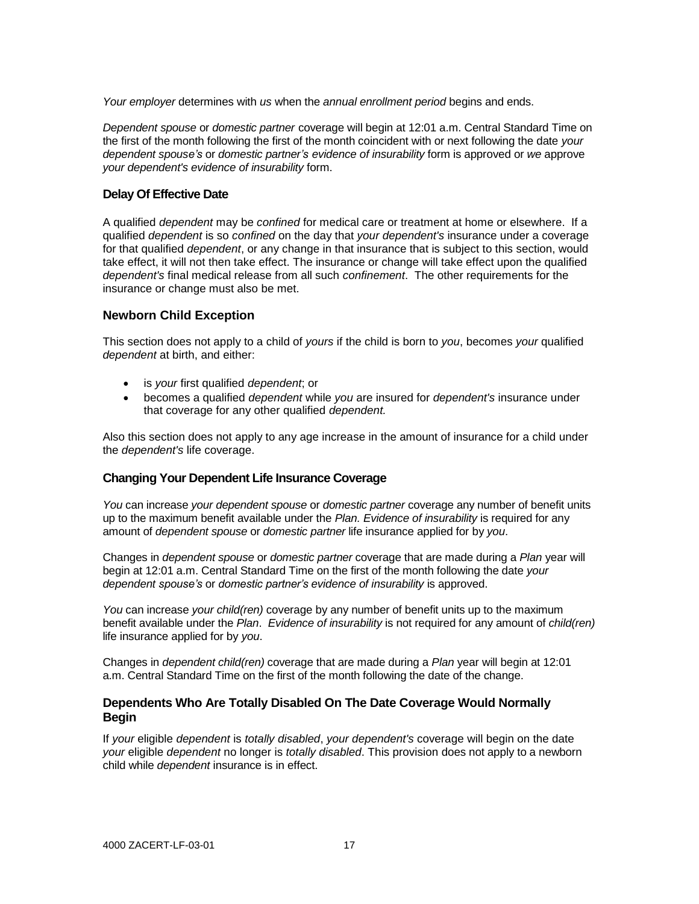*Your employer* determines with *us* when the *annual enrollment period* begins and ends.

*Dependent spouse* or *domestic partner* coverage will begin at 12:01 a.m. Central Standard Time on the first of the month following the first of the month coincident with or next following the date *your dependent spouse's* or *domestic partner's evidence of insurability* form is approved or *we* approve *your dependent's evidence of insurability* form.

#### **Delay Of Effective Date**

A qualified *dependent* may be *confined* for medical care or treatment at home or elsewhere. If a qualified *dependent* is so *confined* on the day that *your dependent's* insurance under a coverage for that qualified *dependent*, or any change in that insurance that is subject to this section, would take effect, it will not then take effect. The insurance or change will take effect upon the qualified *dependent's* final medical release from all such *confinement*. The other requirements for the insurance or change must also be met.

#### **Newborn Child Exception**

This section does not apply to a child of *yours* if the child is born to *you*, becomes *your* qualified *dependent* at birth, and either:

- is *your* first qualified *dependent*; or
- becomes a qualified *dependent* while *you* are insured for *dependent's* insurance under that coverage for any other qualified *dependent.*

Also this section does not apply to any age increase in the amount of insurance for a child under the *dependent's* life coverage.

## **Changing Your Dependent Life Insurance Coverage**

*You* can increase *your dependent spouse* or *domestic partner* coverage any number of benefit units up to the maximum benefit available under the *Plan. Evidence of insurability* is required for any amount of *dependent spouse* or *domestic partner* life insurance applied for by *you*.

Changes in *dependent spouse* or *domestic partner* coverage that are made during a *Plan* year will begin at 12:01 a.m. Central Standard Time on the first of the month following the date *your dependent spouse's* or *domestic partner's evidence of insurability* is approved.

*You* can increase *your child(ren)* coverage by any number of benefit units up to the maximum benefit available under the *Plan*. *Evidence of insurability* is not required for any amount of *child(ren)* life insurance applied for by *you*.

Changes in *dependent child(ren)* coverage that are made during a *Plan* year will begin at 12:01 a.m. Central Standard Time on the first of the month following the date of the change.

#### **Dependents Who Are Totally Disabled On The Date Coverage Would Normally Begin**

If *your* eligible *dependent* is *totally disabled*, *your dependent's* coverage will begin on the date *your* eligible *dependent* no longer is *totally disabled*. This provision does not apply to a newborn child while *dependent* insurance is in effect.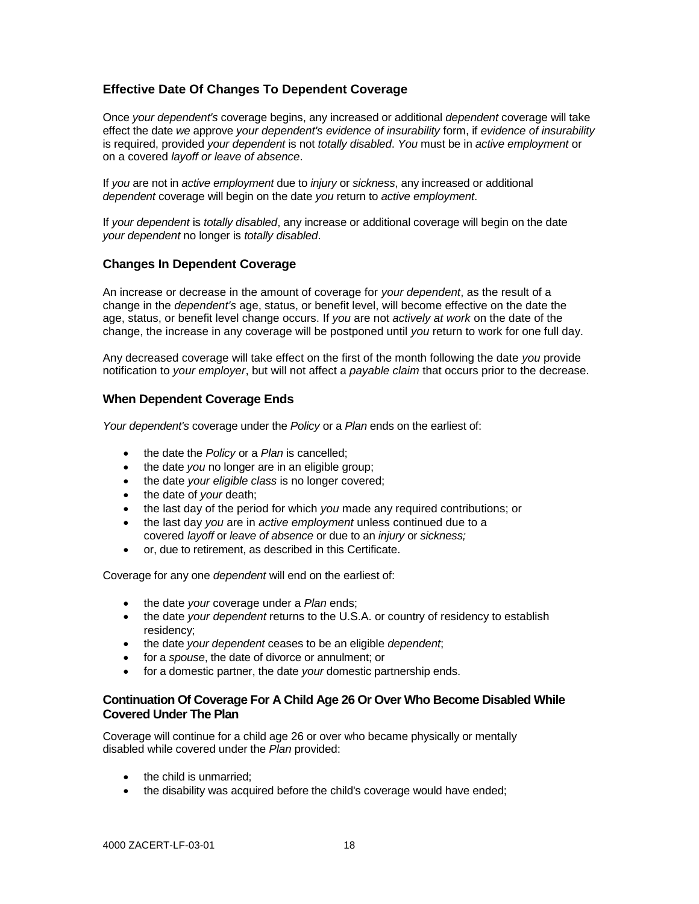# **Effective Date Of Changes To Dependent Coverage**

Once *your dependent's* coverage begins, any increased or additional *dependent* coverage will take effect the date *we* approve *your dependent's evidence of insurability* form, if *evidence of insurability* is required, provided *your dependent* is not *totally disabled*. *You* must be in *active employment* or on a covered *layoff or leave of absence*.

If *you* are not in *active employment* due to *injury* or *sickness*, any increased or additional *dependent* coverage will begin on the date *you* return to *active employment*.

If *your dependent* is *totally disabled*, any increase or additional coverage will begin on the date *your dependent* no longer is *totally disabled*.

## **Changes In Dependent Coverage**

An increase or decrease in the amount of coverage for *your dependent*, as the result of a change in the *dependent's* age, status, or benefit level, will become effective on the date the age, status, or benefit level change occurs. If *you* are not *actively at work* on the date of the change, the increase in any coverage will be postponed until *you* return to work for one full day.

Any decreased coverage will take effect on the first of the month following the date *you* provide notification to *your employer*, but will not affect a *payable claim* that occurs prior to the decrease.

# **When Dependent Coverage Ends**

*Your dependent's* coverage under the *Policy* or a *Plan* ends on the earliest of:

- the date the *Policy* or a *Plan* is cancelled;
- the date *you* no longer are in an eligible group;
- the date *your eligible class* is no longer covered;
- the date of *your* death;
- the last day of the period for which *you* made any required contributions; or
- the last day *you* are in *active employment* unless continued due to a covered *layoff* or *leave of absence* or due to an *injury* or *sickness;*
- or, due to retirement, as described in this Certificate.

Coverage for any one *dependent* will end on the earliest of:

- the date *your* coverage under a *Plan* ends;
- the date *your dependent* returns to the U.S.A. or country of residency to establish residency;
- the date *your dependent* ceases to be an eligible *dependent*;
- for a *spouse*, the date of divorce or annulment; or
- for a domestic partner, the date *your* domestic partnership ends.

#### **Continuation Of Coverage For A Child Age 26 Or Over Who Become Disabled While Covered Under The Plan**

Coverage will continue for a child age 26 or over who became physically or mentally disabled while covered under the *Plan* provided:

- the child is unmarried;
- the disability was acquired before the child's coverage would have ended;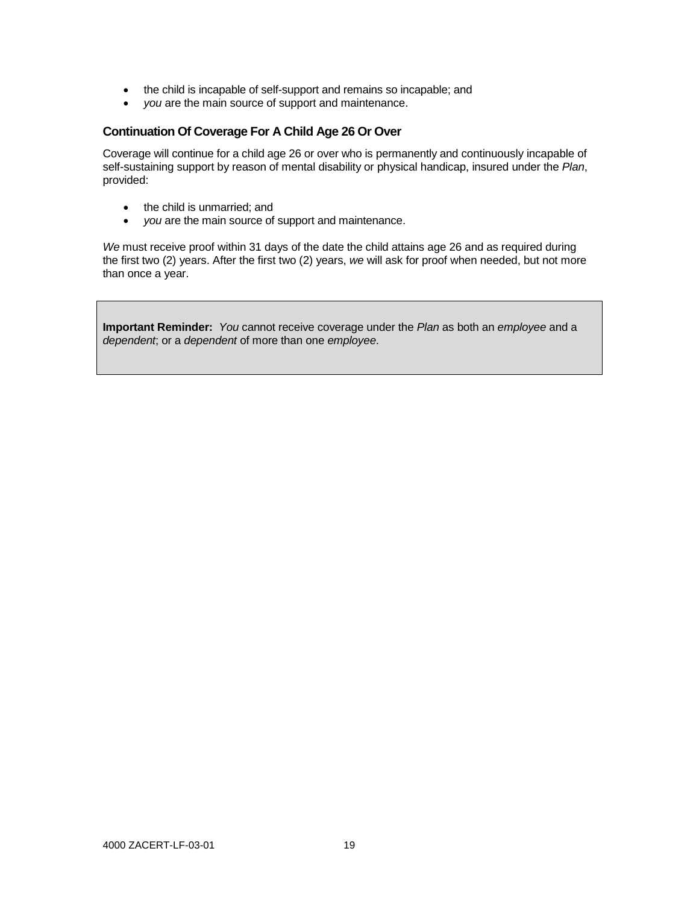- the child is incapable of self-support and remains so incapable; and
- *you* are the main source of support and maintenance.

# **Continuation Of Coverage For A Child Age 26 Or Over**

Coverage will continue for a child age 26 or over who is permanently and continuously incapable of self-sustaining support by reason of mental disability or physical handicap, insured under the *Plan*, provided:

- the child is unmarried; and
- *you* are the main source of support and maintenance.

*We* must receive proof within 31 days of the date the child attains age 26 and as required during the first two (2) years. After the first two (2) years, *we* will ask for proof when needed, but not more than once a year.

**Important Reminder:** *You* cannot receive coverage under the *Plan* as both an *employee* and a *dependent*; or a *dependent* of more than one *employee*.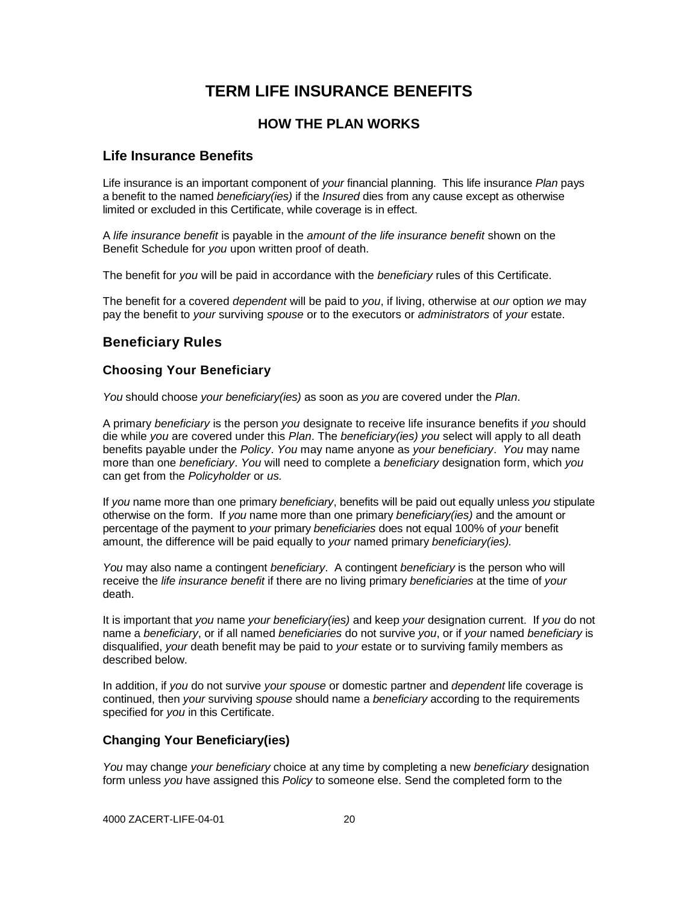# **TERM LIFE INSURANCE BENEFITS**

# **HOW THE PLAN WORKS**

# **Life Insurance Benefits**

Life insurance is an important component of *your* financial planning. This life insurance *Plan* pays a benefit to the named *beneficiary(ies)* if the *Insured* dies from any cause except as otherwise limited or excluded in this Certificate, while coverage is in effect.

A *life insurance benefit* is payable in the *amount of the life insurance benefit* shown on the Benefit Schedule for *you* upon written proof of death.

The benefit for *you* will be paid in accordance with the *beneficiary* rules of this Certificate.

The benefit for a covered *dependent* will be paid to *you*, if living, otherwise at *our* option *we* may pay the benefit to *your* surviving *spouse* or to the executors or *administrators* of *your* estate.

# **Beneficiary Rules**

# **Choosing Your Beneficiary**

*You* should choose *your beneficiary(ies)* as soon as *you* are covered under the *Plan*.

A primary *beneficiary* is the person *you* designate to receive life insurance benefits if *you* should die while *you* are covered under this *Plan*. The *beneficiary(ies) you* select will apply to all death benefits payable under the *Policy*. *You* may name anyone as *your beneficiary*. *You* may name more than one *beneficiary*. *You* will need to complete a *beneficiary* designation form, which *you* can get from the *Policyholder* or *us.*

If *you* name more than one primary *beneficiary*, benefits will be paid out equally unless *you* stipulate otherwise on the form. If *you* name more than one primary *beneficiary(ies)* and the amount or percentage of the payment to *your* primary *beneficiaries* does not equal 100% of *your* benefit amount, the difference will be paid equally to *your* named primary *beneficiary(ies).*

*You* may also name a contingent *beneficiary*. A contingent *beneficiary* is the person who will receive the *life insurance benefit* if there are no living primary *beneficiaries* at the time of *your* death.

It is important that *you* name *your beneficiary(ies)* and keep *your* designation current. If *you* do not name a *beneficiary*, or if all named *beneficiaries* do not survive *you*, or if *your* named *beneficiary* is disqualified, *your* death benefit may be paid to *your* estate or to surviving family members as described below.

In addition, if *you* do not survive *your spouse* or domestic partner and *dependent* life coverage is continued, then *your* surviving *spouse* should name a *beneficiary* according to the requirements specified for *you* in this Certificate.

## **Changing Your Beneficiary(ies)**

*You* may change *your beneficiary* choice at any time by completing a new *beneficiary* designation form unless *you* have assigned this *Policy* to someone else. Send the completed form to the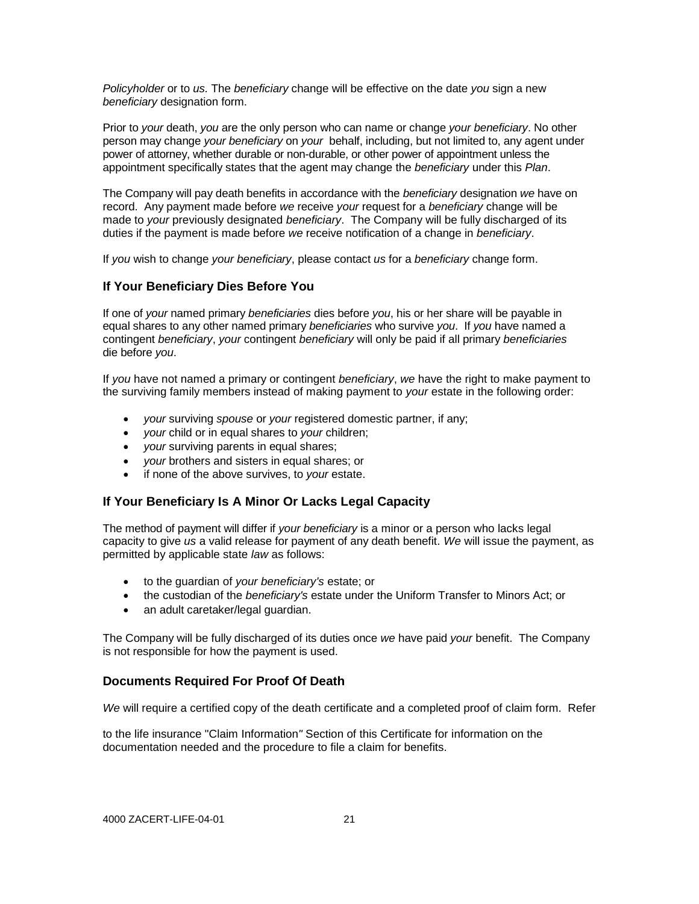*Policyholder* or to *us.* The *beneficiary* change will be effective on the date *you* sign a new *beneficiary* designation form.

Prior to *your* death, *you* are the only person who can name or change *your beneficiary*. No other person may change *your beneficiary* on *your* behalf, including, but not limited to, any agent under power of attorney, whether durable or non-durable, or other power of appointment unless the appointment specifically states that the agent may change the *beneficiary* under this *Plan*.

The Company will pay death benefits in accordance with the *beneficiary* designation *we* have on record. Any payment made before *we* receive *your* request for a *beneficiary* change will be made to *your* previously designated *beneficiary*. The Company will be fully discharged of its duties if the payment is made before *we* receive notification of a change in *beneficiary*.

If *you* wish to change *your beneficiary*, please contact *us* for a *beneficiary* change form.

## **If Your Beneficiary Dies Before You**

If one of *your* named primary *beneficiaries* dies before *you*, his or her share will be payable in equal shares to any other named primary *beneficiaries* who survive *you*. If *you* have named a contingent *beneficiary*, *your* contingent *beneficiary* will only be paid if all primary *beneficiaries* die before *you*.

If *you* have not named a primary or contingent *beneficiary*, *we* have the right to make payment to the surviving family members instead of making payment to *your* estate in the following order:

- *your* surviving *spouse* or *your* registered domestic partner, if any;
- *your* child or in equal shares to *your* children;
- *your* surviving parents in equal shares;
- *your* brothers and sisters in equal shares; or
- if none of the above survives, to *your* estate.

# **If Your Beneficiary Is A Minor Or Lacks Legal Capacity**

The method of payment will differ if *your beneficiary* is a minor or a person who lacks legal capacity to give *us* a valid release for payment of any death benefit. *We* will issue the payment, as permitted by applicable state *law* as follows:

- to the guardian of *your beneficiary's* estate; or
- the custodian of the *beneficiary's* estate under the Uniform Transfer to Minors Act; or
- an adult caretaker/legal guardian.

The Company will be fully discharged of its duties once *we* have paid *your* benefit. The Company is not responsible for how the payment is used.

## **Documents Required For Proof Of Death**

*We* will require a certified copy of the death certificate and a completed proof of claim form. Refer

to the life insurance "Claim Information*"* Section of this Certificate for information on the documentation needed and the procedure to file a claim for benefits.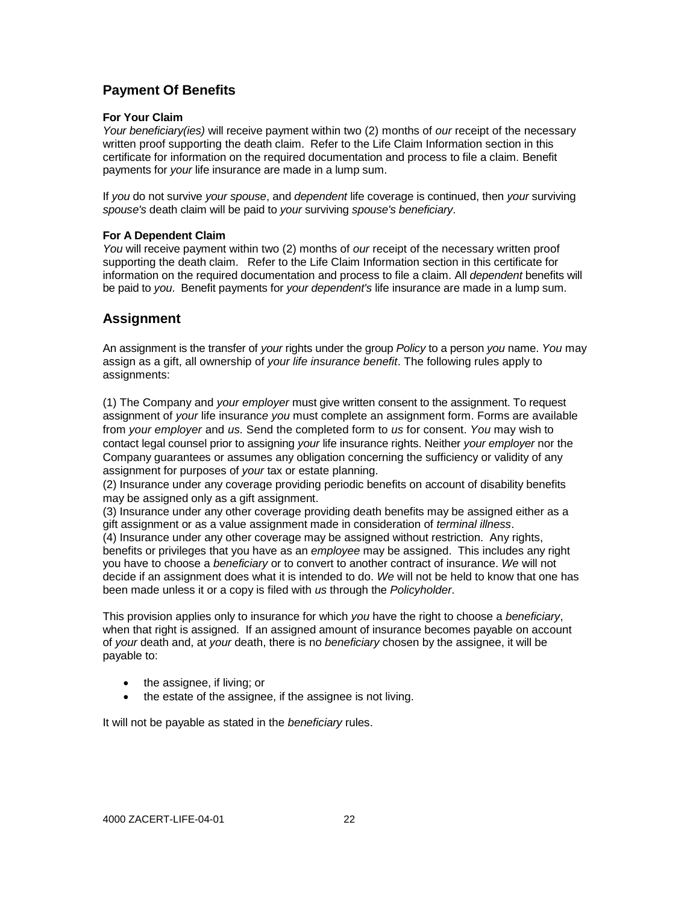# **Payment Of Benefits**

#### **For Your Claim**

*Your beneficiary(ies)* will receive payment within two (2) months of *our* receipt of the necessary written proof supporting the death claim. Refer to the Life Claim Information section in this certificate for information on the required documentation and process to file a claim. Benefit payments for *your* life insurance are made in a lump sum.

If *you* do not survive *your spouse*, and *dependent* life coverage is continued, then *your* surviving *spouse's* death claim will be paid to *your* surviving *spouse's beneficiary*.

#### **For A Dependent Claim**

*You* will receive payment within two (2) months of *our* receipt of the necessary written proof supporting the death claim. Refer to the Life Claim Information section in this certificate for information on the required documentation and process to file a claim. All *dependent* benefits will be paid to *you*. Benefit payments for *your dependent's* life insurance are made in a lump sum.

# **Assignment**

An assignment is the transfer of *your* rights under the group *Policy* to a person *you* name. *You* may assign as a gift, all ownership of *your life insurance benefit*. The following rules apply to assignments:

(1) The Company and *your employer* must give written consent to the assignment. To request assignment of *your* life insuranc*e you* must complete an assignment form. Forms are available from *your employer* and *us.* Send the completed form to *us* for consent. *You* may wish to cont*a*ct legal counsel prior to assigning *your* life insurance rights. Neither *your employer* nor the Company guarantees or assumes any obligation concerning the sufficiency or validity of any assignment for purposes of *your* tax or estate planning.

(2) Insurance under any coverage providing periodic benefits on account of disability benefits may be assigned only as a gift assignment.

(3) Insurance under any other coverage providing death benefits may be assigned either as a gift assignment or as a value assignment made in consideration of *terminal illness*.

(4) Insurance under any other coverage may be assigned without restriction. Any rights, benefits or privileges that you have as an *employee* may be assigned. This includes any right you have to choose a *beneficiary* or to convert to another contract of insurance. *We* will not decide if an assignment does what it is intended to do. *We* will not be held to know that one has been made unless it or a copy is filed with *us* through the *Policyholder*.

This provision applies only to insurance for which *you* have the right to choose a *beneficiary*, when that right is assigned. If an assigned amount of insurance becomes payable on account of *your* death and, at *your* death, there is no *beneficiary* chosen by the assignee, it will be payable to:

- the assignee, if living; or
- the estate of the assignee, if the assignee is not living.

It will not be payable as stated in the *beneficiary* rules.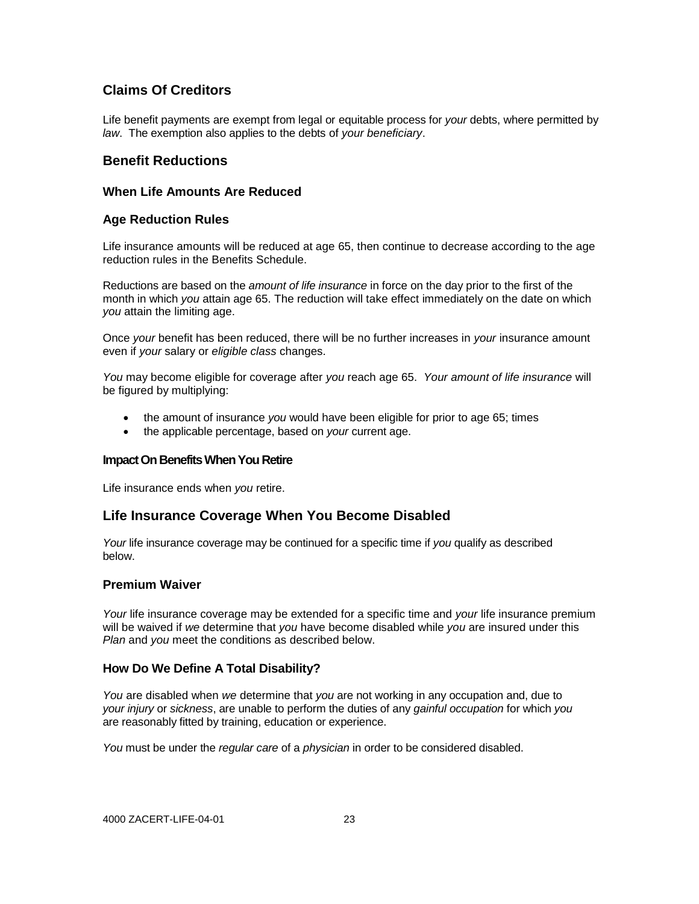# **Claims Of Creditors**

Life benefit payments are exempt from legal or equitable process for *your* debts, where permitted by *law*. The exemption also applies to the debts of *your beneficiary*.

# **Benefit Reductions**

#### **When Life Amounts Are Reduced**

#### **Age Reduction Rules**

Life insurance amounts will be reduced at age 65, then continue to decrease according to the age reduction rules in the Benefits Schedule.

Reductions are based on the *amount of life insurance* in force on the day prior to the first of the month in which *you* attain age 65. The reduction will take effect immediately on the date on which *you* attain the limiting age.

Once *your* benefit has been reduced, there will be no further increases in *your* insurance amount even if *your* salary or *eligible class* changes.

*You* may become eligible for coverage after *you* reach age 65. *Your amount of life insurance* will be figured by multiplying:

- the amount of insurance *you* would have been eligible for prior to age 65; times
- the applicable percentage, based on *your* current age.

#### **Impact On Benefits When You Retire**

Life insurance ends when *you* retire.

## **Life Insurance Coverage When You Become Disabled**

*Your* life insurance coverage may be continued for a specific time if *you* qualify as described below.

#### **Premium Waiver**

*Your* life insurance coverage may be extended for a specific time and *your* life insurance premium will be waived if *we* determine that *you* have become disabled while *you* are insured under this *Plan* and *you* meet the conditions as described below.

## **How Do We Define A Total Disability?**

*You* are disabled when *we* determine that *you* are not working in any occupation and, due to *your injury* or *sickness*, are unable to perform the duties of any *gainful occupation* for which *you* are reasonably fitted by training, education or experience.

*You* must be under the *regular care* of a *physician* in order to be considered disabled.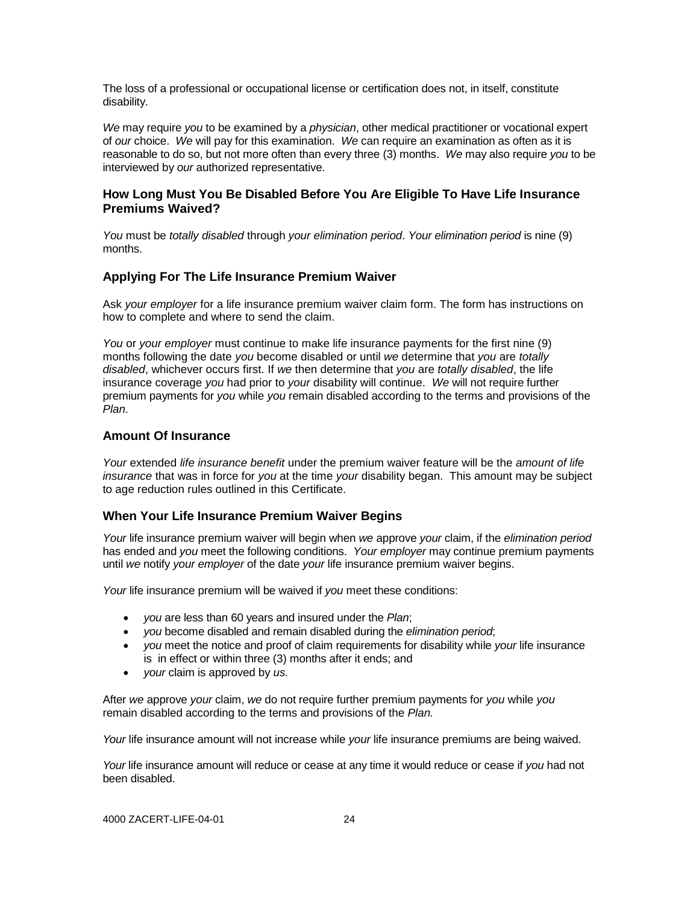The loss of a professional or occupational license or certification does not, in itself, constitute disability.

*We* may require *you* to be examined by a *physician*, other medical practitioner or vocational expert of *our* choice. *We* will pay for this examination. *We* can require an examination as often as it is reasonable to do so, but not more often than every three (3) months. *We* may also require *you* to be interviewed by *our* authorized representative.

#### **How Long Must You Be Disabled Before You Are Eligible To Have Life Insurance Premiums Waived?**

*You* must be *totally disabled* through *your elimination period*. *Your elimination period* is nine (9) months.

# **Applying For The Life Insurance Premium Waiver**

Ask *your employer* for a life insurance premium waiver claim form. The form has instructions on how to complete and where to send the claim.

*You* or *your employer* must continue to make life insurance payments for the first nine (9) months following the date *you* become disabled or until *we* determine that *you* are *totally disabled*, whichever occurs first. If *we* then determine that *you* are *totally disabled*, the life insurance coverage *you* had prior to *your* disability will continue. *We* will not require further premium payments for *you* while *you* remain disabled according to the terms and provisions of the *Plan*.

#### **Amount Of Insurance**

*Your* extended *life insurance benefit* under the premium waiver feature will be the *amount of life insurance* that was in force for *you* at the time *your* disability began. This amount may be subject to age reduction rules outlined in this Certificate.

## **When Your Life Insurance Premium Waiver Begins**

*Your* life insurance premium waiver will begin when *we* approve *your* claim, if the *elimination period*  has ended and *you* meet the following conditions. *Your employer* may continue premium payments until *we* notify *your employer* of the date *your* life insurance premium waiver begins.

*Your* life insurance premium will be waived if *you* meet these conditions:

- *you* are less than 60 years and insured under the *Plan*;
- *you* become disabled and remain disabled during the *elimination period*;
- *you* meet the notice and proof of claim requirements for disability while *your* life insurance is in effect or within three (3) months after it ends; and
- *your* claim is approved by *us.*

After *we* approve *your* claim, *we* do not require further premium payments for *you* while *you* remain disabled according to the terms and provisions of the *Plan.*

*Your* life insurance amount will not increase while *your* life insurance premiums are being waived.

*Your* life insurance amount will reduce or cease at any time it would reduce or cease if *you* had not been disabled.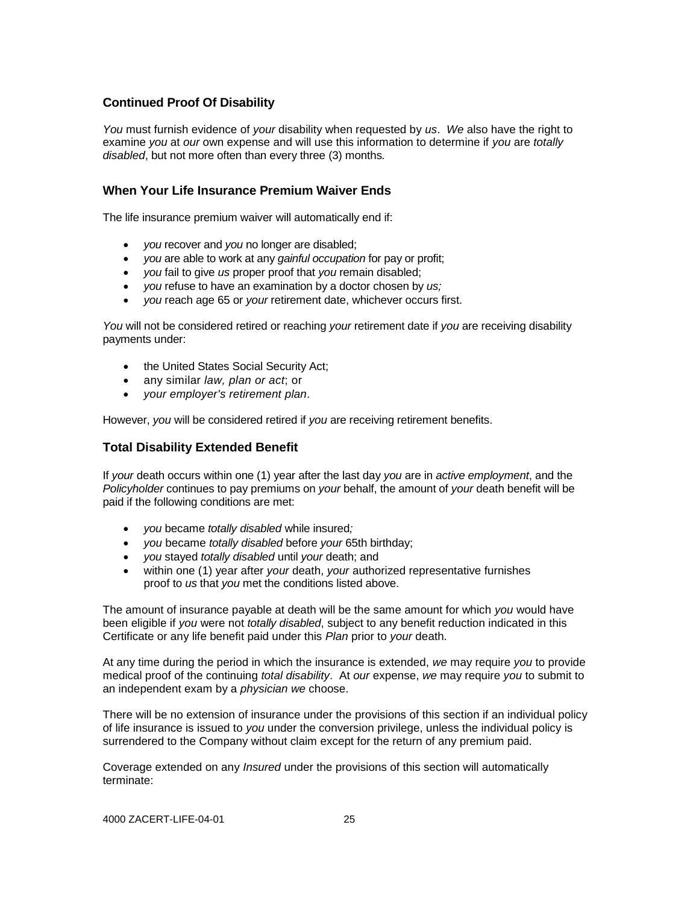## **Continued Proof Of Disability**

*You* must furnish evidence of *your* disability when requested by *us*. *We* also have the right to examine *you* at *our* own expense and will use this information to determine if *you* are *totally disabled*, but not more often than every three (3) months*.*

## **When Your Life Insurance Premium Waiver Ends**

The life insurance premium waiver will automatically end if:

- *you* recover and *you* no longer are disabled;
- *you* are able to work at any *gainful occupation* for pay or profit;
- *you* fail to give *us* proper proof that *you* remain disabled;
- *you* refuse to have an examination by a doctor chosen by *us;*
- *you* reach age 65 or *your* retirement date, whichever occurs first.

*You* will not be considered retired or reaching *your* retirement date if *you* are receiving disability payments under:

- the United States Social Security Act;
- any similar *law, plan or act*; or
- *your employer's retirement plan*.

However, *you* will be considered retired if *you* are receiving retirement benefits.

# **Total Disability Extended Benefit**

If *your* death occurs within one (1) year after the last day *you* are in *active employment*, and the *Policyholder* continues to pay premiums on *your* behalf, the amount of *your* death benefit will be paid if the following conditions are met:

- *you* became *totally disabled* while insured*;*
- *you* became *totally disabled* before *your* 65th birthday;
- *you* stayed *totally disabled* until *your* death; and
- within one (1) year after *your* death, *your* authorized representative furnishes proof to *us* that *you* met the conditions listed above.

The amount of insurance payable at death will be the same amount for which *you* would have been eligible if *you* were not *totally disabled*, subject to any benefit reduction indicated in this Certificate or any life benefit paid under this *Plan* prior to *your* death.

At any time during the period in which the insurance is extended, *we* may require *you* to provide medical proof of the continuing *total disability*. At *our* expense, *we* may require *you* to submit to an independent exam by a *physician we* choose.

There will be no extension of insurance under the provisions of this section if an individual policy of life insurance is issued to *you* under the conversion privilege, unless the individual policy is surrendered to the Company without claim except for the return of any premium paid.

Coverage extended on any *Insured* under the provisions of this section will automatically terminate: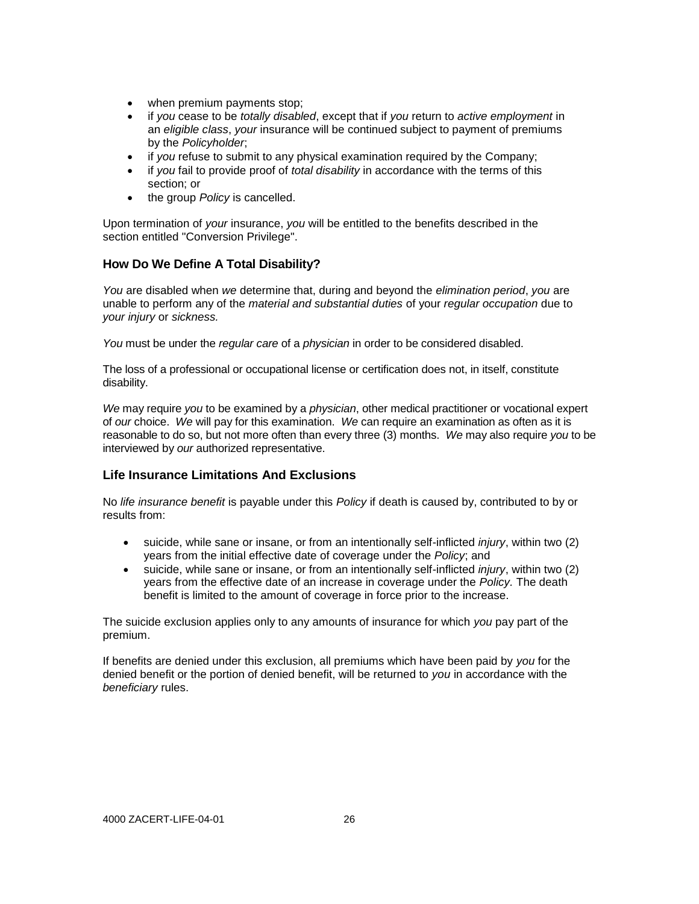- when premium payments stop;
- if *you* cease to be *totally disabled*, except that if *you* return to *active employment* in an *eligible class*, *your* insurance will be continued subject to payment of premiums by the *Policyholder*;
- if *you* refuse to submit to any physical examination required by the Company;
- if *you* fail to provide proof of *total disability* in accordance with the terms of this section; or
- the group *Policy* is cancelled.

Upon termination of *your* insurance, *you* will be entitled to the benefits described in the section entitled "Conversion Privilege".

# **How Do We Define A Total Disability?**

*You* are disabled when *we* determine that, during and beyond the *elimination period*, *you* are unable to perform any of the *material and substantial duties* of your *regular occupation* due to *your injury* or *sickness.*

*You* must be under the *regular care* of a *physician* in order to be considered disabled.

The loss of a professional or occupational license or certification does not, in itself, constitute disability.

*We* may require *you* to be examined by a *physician*, other medical practitioner or vocational expert of *our* choice. *We* will pay for this examination. *We* can require an examination as often as it is reasonable to do so, but not more often than every three (3) months. *We* may also require *you* to be interviewed by *our* authorized representative.

## **Life Insurance Limitations And Exclusions**

No *life insurance benefit* is payable under this *Policy* if death is caused by, contributed to by or results from:

- suicide, while sane or insane, or from an intentionally self-inflicted *injury*, within two (2) years from the initial effective date of coverage under the *Policy*; and
- suicide, while sane or insane, or from an intentionally self-inflicted *injury*, within two (2) years from the effective date of an increase in coverage under the *Policy.* The death benefit is limited to the amount of coverage in force prior to the increase.

The suicide exclusion applies only to any amounts of insurance for which *you* pay part of the premium.

If benefits are denied under this exclusion, all premiums which have been paid by *you* for the denied benefit or the portion of denied benefit, will be returned to *you* in accordance with the *beneficiary* rules.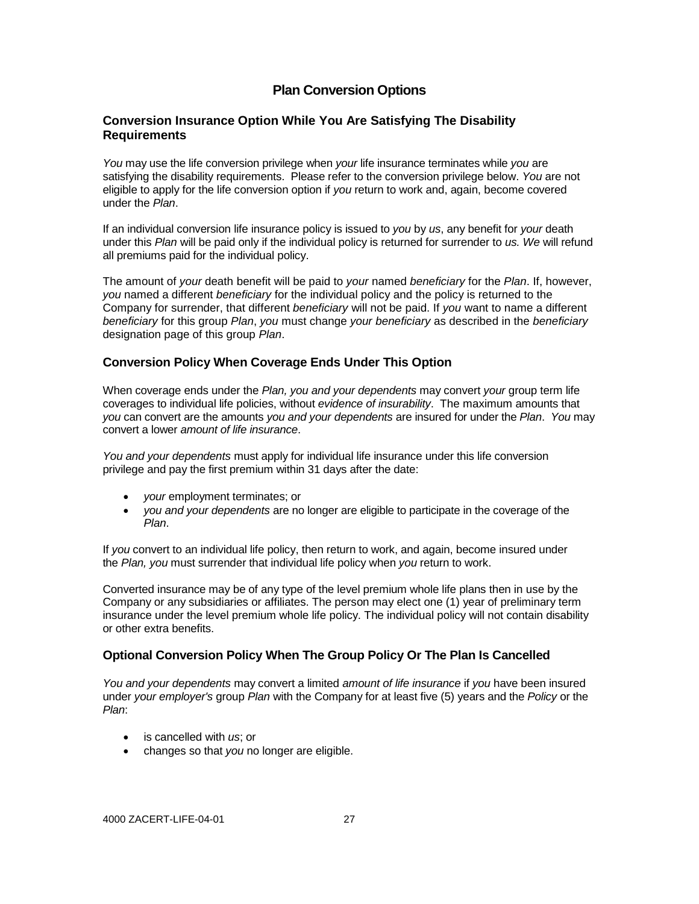# **Plan Conversion Options**

# **Conversion Insurance Option While You Are Satisfying The Disability Requirements**

*You* may use the life conversion privilege when *your* life insurance terminates while *you* are satisfying the disability requirements. Please refer to the conversion privilege below. *You* are not eligible to apply for the life conversion option if *you* return to work and, again, become covered under the *Plan*.

If an individual conversion life insurance policy is issued to *you* by *us*, any benefit for *your* death under this *Plan* will be paid only if the individual policy is returned for surrender to *us. We* will refund all premiums paid for the individual policy.

The amount of *your* death benefit will be paid to *your* named *beneficiary* for the *Plan*. If, however, *you* named a different *beneficiary* for the individual policy and the policy is returned to the Company for surrender, that different *beneficiary* will not be paid. If *you* want to name a different *beneficiary* for this group *Plan*, *you* must change *your beneficiary* as described in the *beneficiary* designation page of this group *Plan*.

#### **Conversion Policy When Coverage Ends Under This Option**

When coverage ends under the *Plan, you and your dependents* may convert *your* group term life coverages to individual life policies, without *evidence of insurability*. The maximum amounts that *you* can convert are the amounts *you and your dependents* are insured for under the *Plan*. *You* may convert a lower *amount of life insurance*.

*You and your dependents* must apply for individual life insurance under this life conversion privilege and pay the first premium within 31 days after the date:

- *your* employment terminates; or
- *you and your dependents* are no longer are eligible to participate in the coverage of the *Plan*.

If *you* convert to an individual life policy, then return to work, and again, become insured under the *Plan, you* must surrender that individual life policy when *you* return to work.

Converted insurance may be of any type of the level premium whole life plans then in use by the Company or any subsidiaries or affiliates. The person may elect one (1) year of preliminary term insurance under the level premium whole life policy. The individual policy will not contain disability or other extra benefits.

## **Optional Conversion Policy When The Group Policy Or The Plan Is Cancelled**

*You and your dependents* may convert a limited *amount of life insurance* if *you* have been insured under *your employer's* group *Plan* with the Company for at least five (5) years and the *Policy* or the *Plan*:

- is cancelled with *us*; or
- changes so that *you* no longer are eligible.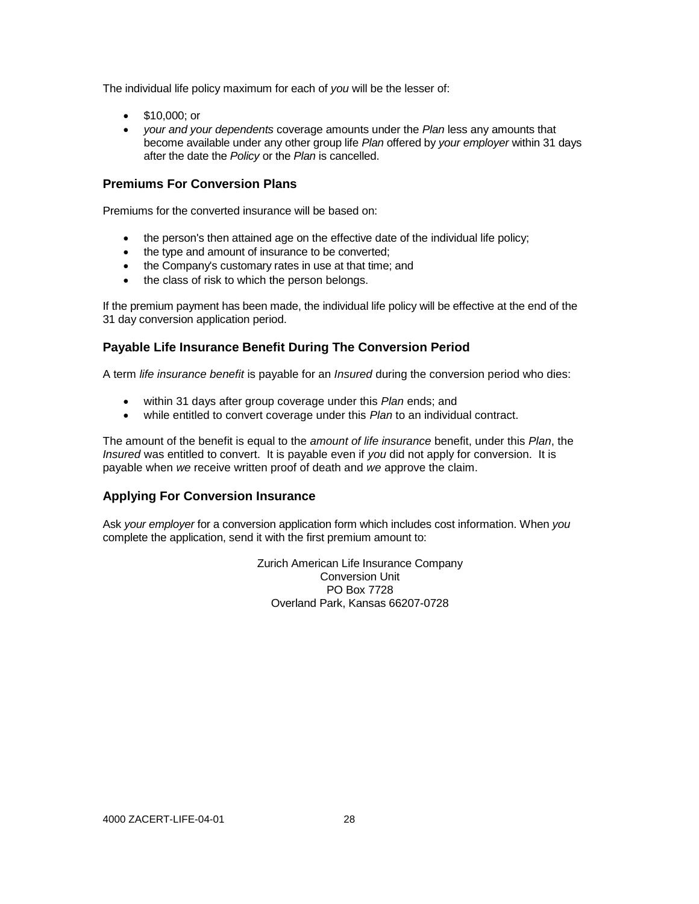The individual life policy maximum for each of *you* will be the lesser of:

- \$10,000; or
- *your and your dependents* coverage amounts under the *Plan* less any amounts that become available under any other group life *Plan* offered by *your employer* within 31 days after the date the *Policy* or the *Plan* is cancelled.

#### **Premiums For Conversion Plans**

Premiums for the converted insurance will be based on:

- the person's then attained age on the effective date of the individual life policy;
- the type and amount of insurance to be converted;
- the Company's customary rates in use at that time; and
- the class of risk to which the person belongs.

If the premium payment has been made, the individual life policy will be effective at the end of the 31 day conversion application period.

## **Payable Life Insurance Benefit During The Conversion Period**

A term *life insurance benefit* is payable for an *Insured* during the conversion period who dies:

- within 31 days after group coverage under this *Plan* ends; and
- while entitled to convert coverage under this *Plan* to an individual contract.

The amount of the benefit is equal to the *amount of life insurance* benefit, under this *Plan*, the *Insured* was entitled to convert. It is payable even if *you* did not apply for conversion. It is payable when *we* receive written proof of death and *we* approve the claim.

#### **Applying For Conversion Insurance**

Ask *your employer* for a conversion application form which includes cost information. When *you* complete the application, send it with the first premium amount to:

> Zurich American Life Insurance Company Conversion Unit PO Box 7728 Overland Park, Kansas 66207-0728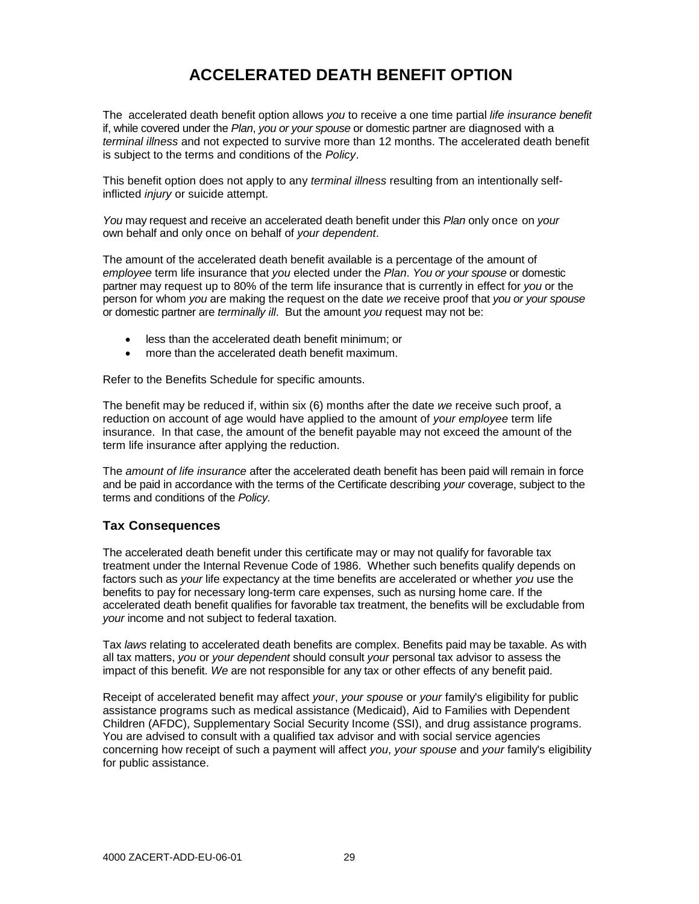# **ACCELERATED DEATH BENEFIT OPTION**

The accelerated death benefit option allows *you* to receive a one time partial *life insurance benefit* if, while covered under the *Plan*, *you or your spouse* or domestic partner are diagnosed with a *terminal illness* and not expected to survive more than 12 months. The accelerated death benefit is subject to the terms and conditions of the *Policy*.

This benefit option does not apply to any *terminal illness* resulting from an intentionally selfinflicted *injury* or suicide attempt.

*You* may request and receive an accelerated death benefit under this *Plan* only once on *your* own behalf and only once on behalf of *your dependent*.

The amount of the accelerated death benefit available is a percentage of the amount of *employee* term life insurance that *you* elected under the *Plan*. *You or your spouse* or domestic partner may request up to 80% of the term life insurance that is currently in effect for *you* or the person for whom *you* are making the request on the date *we* receive proof that *you or your spouse*  or domestic partner are *terminally ill*. But the amount *you* request may not be:

- less than the accelerated death benefit minimum; or
- more than the accelerated death benefit maximum.

Refer to the Benefits Schedule for specific amounts.

The benefit may be reduced if, within six (6) months after the date *we* receive such proof, a reduction on account of age would have applied to the amount of *your employee* term life insurance. In that case, the amount of the benefit payable may not exceed the amount of the term life insurance after applying the reduction.

The *amount of life insurance* after the accelerated death benefit has been paid will remain in force and be paid in accordance with the terms of the Certificate describing *your* coverage, subject to the terms and conditions of the *Policy.*

## **Tax Consequences**

The accelerated death benefit under this certificate may or may not qualify for favorable tax treatment under the Internal Revenue Code of 1986. Whether such benefits qualify depends on factors such as *your* life expectancy at the time benefits are accelerated or whether *you* use the benefits to pay for necessary long-term care expenses, such as nursing home care. If the accelerated death benefit qualifies for favorable tax treatment, the benefits will be excludable from *your* income and not subject to federal taxation.

Tax *laws* relating to accelerated death benefits are complex. Benefits paid may be taxable. As with all tax matters, *you* or *your dependent* should consult *your* personal tax advisor to assess the impact of this benefit. *We* are not responsible for any tax or other effects of any benefit paid.

Receipt of accelerated benefit may affect *your*, *your spouse* or *your* family's eligibility for public assistance programs such as medical assistance (Medicaid), Aid to Families with Dependent Children (AFDC), Supplementary Social Security Income (SSI), and drug assistance programs. You are advised to consult with a qualified tax advisor and with social service agencies concerning how receipt of such a payment will affect *you*, *your spouse* and *your* family's eligibility for public assistance.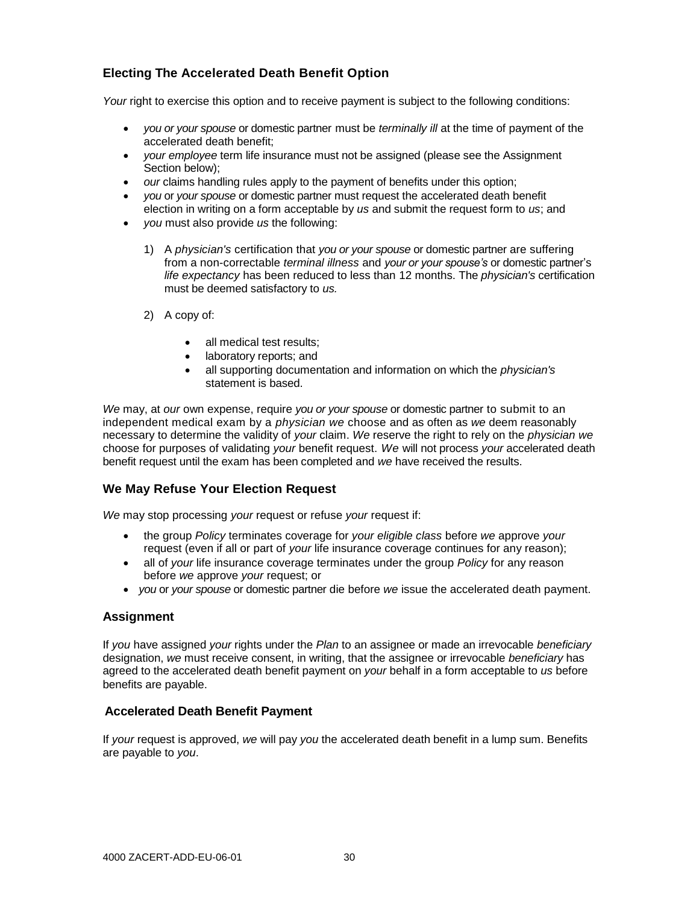# **Electing The Accelerated Death Benefit Option**

*Your* right to exercise this option and to receive payment is subject to the following conditions:

- *you or your spouse* or domestic partner must be *terminally ill* at the time of payment of the accelerated death benefit;
- *your employee* term life insurance must not be assigned (please see the Assignment Section below);
- *our* claims handling rules apply to the payment of benefits under this option;
- *you* or *your spouse* or domestic partner must request the accelerated death benefit election in writing on a form acceptable by *us* and submit the request form to *us*; and
- *you* must also provide *us* the following:
	- 1) A *physician's* certification that *you or your spouse* or domestic partner are suffering from a non-correctable *terminal illness* and *your or your spouse's* or domestic partner's *life expectancy* has been reduced to less than 12 months. The *physician's* certification must be deemed satisfactory to *us.*
	- 2) A copy of:
		- all medical test results:
		- laboratory reports; and
		- all supporting documentation and information on which the *physician's*  statement is based.

*We* may, at *our* own expense, require *you or your spouse* or domestic partner to submit to an independent medical exam by a *physician we* choose and as often as *we* deem reasonably necessary to determine the validity of *your* claim. *We* reserve the right to rely on the *physician we* choose for purposes of validating *your* benefit request. *We* will not process *your* accelerated death benefit request until the exam has been completed and *we* have received the results.

# **We May Refuse Your Election Request**

*We* may stop processing *your* request or refuse *your* request if:

- the group *Policy* terminates coverage for *your eligible class* before *we* approve *your* request (even if all or part of *your* life insurance coverage continues for any reason);
- all of *your* life insurance coverage terminates under the group *Policy* for any reason before *we* approve *your* request; or
- *you* or *your spouse* or domestic partner die before *we* issue the accelerated death payment.

## **Assignment**

If *you* have assigned *your* rights under the *Plan* to an assignee or made an irrevocable *beneficiary* designation, *we* must receive consent, in writing, that the assignee or irrevocable *beneficiary* has agreed to the accelerated death benefit payment on *your* behalf in a form acceptable to *us* before benefits are payable.

## **Accelerated Death Benefit Payment**

If *your* request is approved, *we* will pay *you* the accelerated death benefit in a lump sum. Benefits are payable to *you*.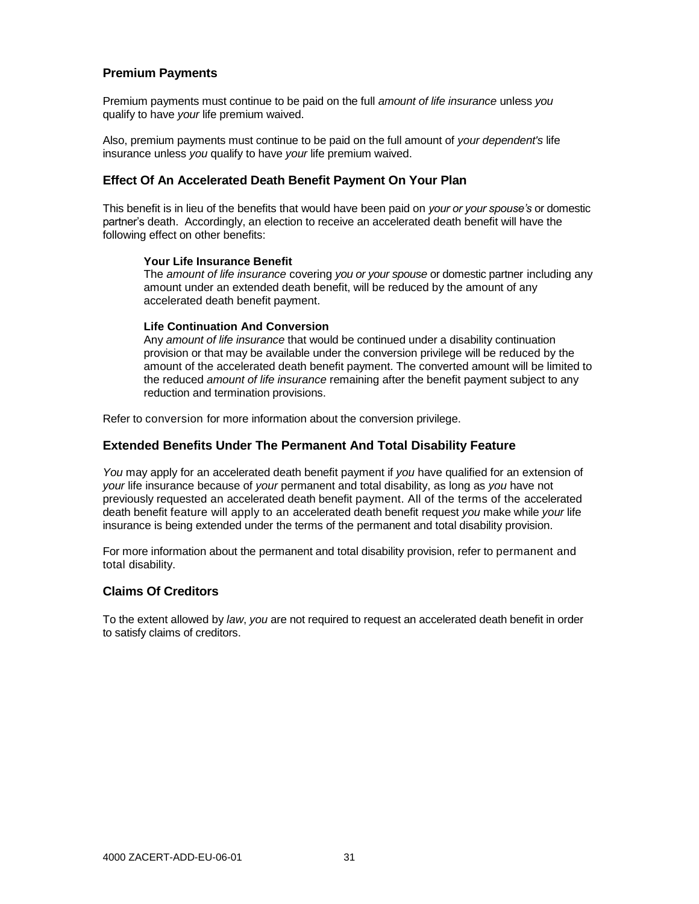# **Premium Payments**

Premium payments must continue to be paid on the full *amount of life insurance* unless *you* qualify to have *your* life premium waived.

Also, premium payments must continue to be paid on the full amount of *your dependent's* life insurance unless *you* qualify to have *your* life premium waived.

#### **Effect Of An Accelerated Death Benefit Payment On Your Plan**

This benefit is in lieu of the benefits that would have been paid on *your or your spouse's* or domestic partner's death. Accordingly, an election to receive an accelerated death benefit will have the following effect on other benefits:

#### **Your Life Insurance Benefit**

The *amount of life insurance* covering *you or your spouse* or domestic partner including any amount under an extended death benefit, will be reduced by the amount of any accelerated death benefit payment.

#### **Life Continuation And Conversion**

Any *amount of life insurance* that would be continued under a disability continuation provision or that may be available under the conversion privilege will be reduced by the amount of the accelerated death benefit payment. The converted amount will be limited to the reduced *amount of life insurance* remaining after the benefit payment subject to any reduction and termination provisions.

Refer to conversion for more information about the conversion privilege.

#### **Extended Benefits Under The Permanent And Total Disability Feature**

*You* may apply for an accelerated death benefit payment if *you* have qualified for an extension of *your* life insurance because of *your* permanent and total disability, as long as *you* have not previously requested an accelerated death benefit payment. All of the terms of the accelerated death benefit feature will apply to an accelerated death benefit request *you* make while *your* life insurance is being extended under the terms of the permanent and total disability provision.

For more information about the permanent and total disability provision, refer to permanent and total disability.

#### **Claims Of Creditors**

To the extent allowed by *law*, *you* are not required to request an accelerated death benefit in order to satisfy claims of creditors.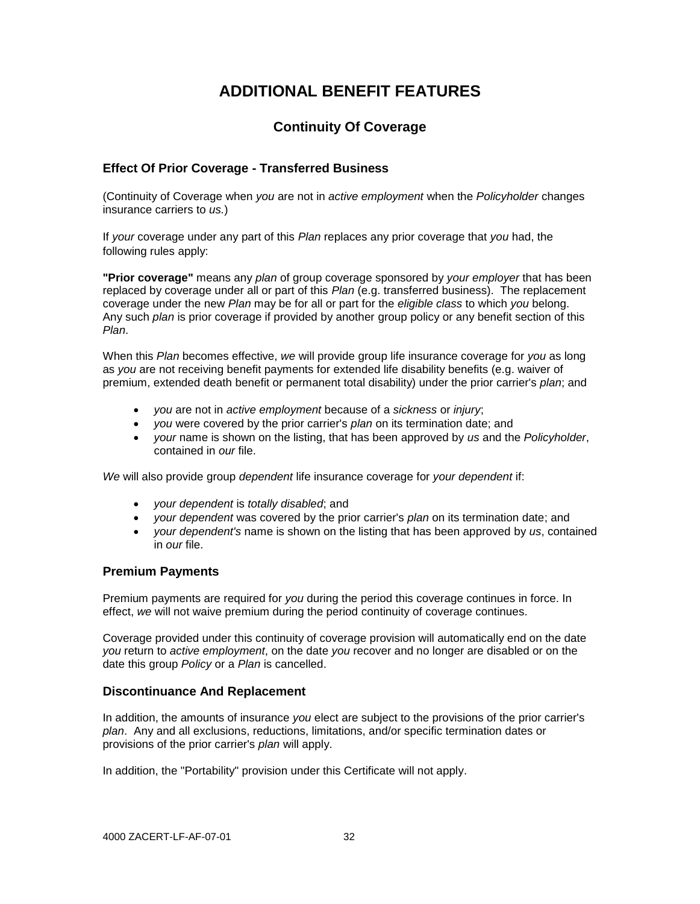# **ADDITIONAL BENEFIT FEATURES**

# **Continuity Of Coverage**

# **Effect Of Prior Coverage - Transferred Business**

(Continuity of Coverage when *you* are not in *active employment* when the *Policyholder* changes insurance carriers to *us.*)

If *your* coverage under any part of this *Plan* replaces any prior coverage that *you* had, the following rules apply:

**"Prior coverage"** means any *plan* of group coverage sponsored by *your employer* that has been replaced by coverage under all or part of this *Plan* (e.g. transferred business). The replacement coverage under the new *Plan* may be for all or part for the *eligible class* to which *you* belong. Any such *plan* is prior coverage if provided by another group policy or any benefit section of this *Plan*.

When this *Plan* becomes effective, *we* will provide group life insurance coverage for *you* as long as *you* are not receiving benefit payments for extended life disability benefits (e.g. waiver of premium, extended death benefit or permanent total disability) under the prior carrier's *plan*; and

- *you* are not in *active employment* because of a *sickness* or *injury*;
- *you* were covered by the prior carrier's *plan* on its termination date; and
- *your* name is shown on the listing, that has been approved by *us* and the *Policyholder*, contained in *our* file.

*We* will also provide group *dependent* life insurance coverage for *your dependent* if:

- *your dependent* is *totally disabled*; and
- *your dependent* was covered by the prior carrier's *plan* on its termination date; and
- *your dependent's* name is shown on the listing that has been approved by *us*, contained in *our* file.

## **Premium Payments**

Premium payments are required for *you* during the period this coverage continues in force. In effect, *we* will not waive premium during the period continuity of coverage continues.

Coverage provided under this continuity of coverage provision will automatically end on the date *you* return to *active employment*, on the date *you* recover and no longer are disabled or on the date this group *Policy* or a *Plan* is cancelled.

## **Discontinuance And Replacement**

In addition, the amounts of insurance *you* elect are subject to the provisions of the prior carrier's *plan*. Any and all exclusions, reductions, limitations, and/or specific termination dates or provisions of the prior carrier's *plan* will apply.

In addition, the "Portability" provision under this Certificate will not apply.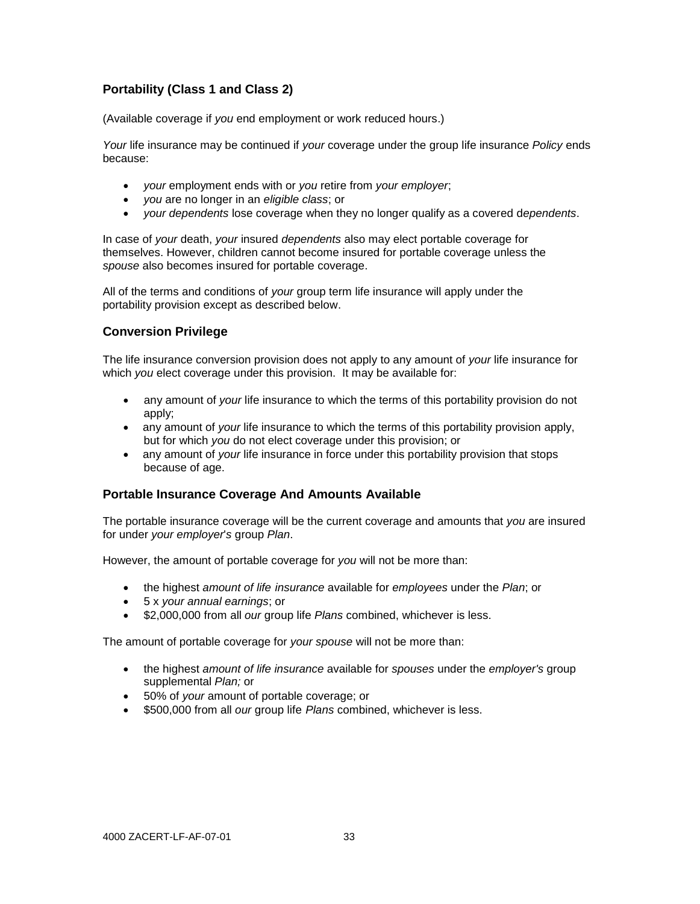# **Portability (Class 1 and Class 2)**

(Available coverage if *you* end employment or work reduced hours.)

*Your* life insurance may be continued if *your* coverage under the group life insurance *Policy* ends because:

- *your* employment ends with or *you* retire from *your employer*;
- *you* are no longer in an *eligible class*; or
- *your dependents* lose coverage when they no longer qualify as a covered d*ependents*.

In case of *your* death, *your* insured *dependents* also may elect portable coverage for themselves. However, children cannot become insured for portable coverage unless the *spouse* also becomes insured for portable coverage.

All of the terms and conditions of *your* group term life insurance will apply under the portability provision except as described below.

# **Conversion Privilege**

The life insurance conversion provision does not apply to any amount of *your* life insurance for which *you* elect coverage under this provision. It may be available for:

- any amount of *your* life insurance to which the terms of this portability provision do not apply;
- any amount of *your* life insurance to which the terms of this portability provision apply, but for which *you* do not elect coverage under this provision; or
- any amount of *your* life insurance in force under this portability provision that stops because of age.

## **Portable Insurance Coverage And Amounts Available**

The portable insurance coverage will be the current coverage and amounts that *you* are insured for under *your employer*'*s* group *Plan*.

However, the amount of portable coverage for *you* will not be more than:

- the highest *amount of life insurance* available for *employees* under the *Plan*; or
- 5 x *your annual earnings*; or
- **\$2,000,000 from all** *our* **group life** *Plans* **combined, whichever is less.**

The amount of portable coverage for *your spouse* will not be more than:

- the highest *amount of life insurance* available for *spouses* under the *employer's* group supplemental *Plan;* or
- 50% of *your* amount of portable coverage; or
- \$500,000 from all *our* group life *Plans* combined, whichever is less.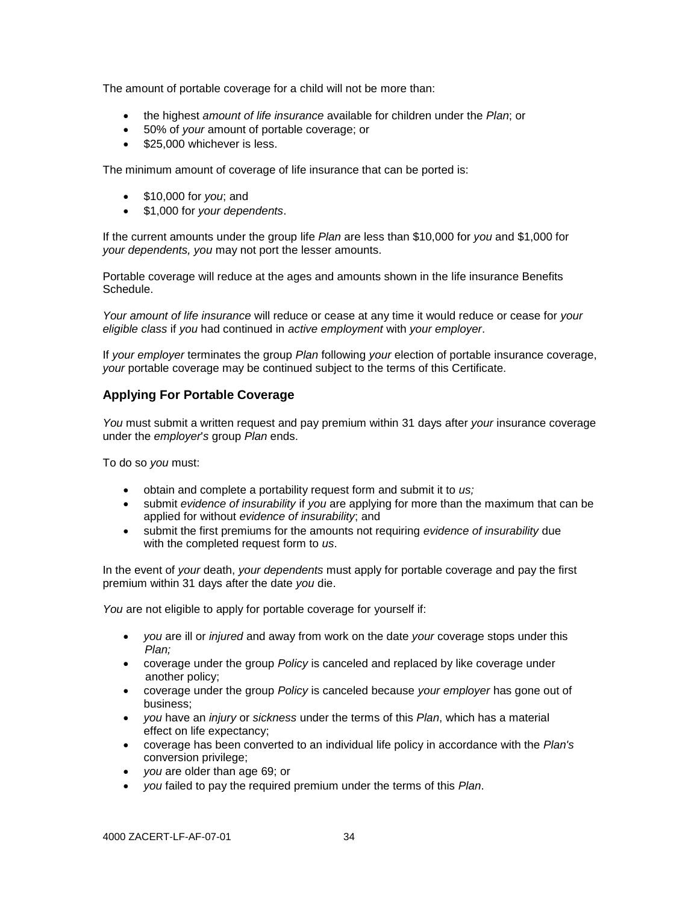The amount of portable coverage for a child will not be more than:

- the highest *amount of life insurance* available for children under the *Plan*; or
- 50% of *your* amount of portable coverage; or
- \$25,000 whichever is less.

The minimum amount of coverage of life insurance that can be ported is:

- \$10,000 for *you*; and
- \$1,000 for *your dependents*.

If the current amounts under the group life *Plan* are less than \$10,000 for *you* and \$1,000 for *your dependents, you* may not port the lesser amounts.

Portable coverage will reduce at the ages and amounts shown in the life insurance Benefits Schedule.

*Your amount of life insurance* will reduce or cease at any time it would reduce or cease for *your eligible class* if *you* had continued in *active employment* with *your employer*.

If *your employer* terminates the group *Plan* following *your* election of portable insurance coverage, *your* portable coverage may be continued subject to the terms of this Certificate.

# **Applying For Portable Coverage**

*You* must submit a written request and pay premium within 31 days after *your* insurance coverage under the *employer*'*s* group *Plan* ends.

To do so *you* must:

- obtain and complete a portability request form and submit it to *us;*
- submit *evidence of insurability* if *you* are applying for more than the maximum that can be applied for without *evidence of insurability*; and
- submit the first premiums for the amounts not requiring *evidence of insurability* due with the completed request form to *us*.

In the event of *your* death, *your dependents* must apply for portable coverage and pay the first premium within 31 days after the date *you* die.

You are not eligible to apply for portable coverage for yourself if:

- *you* are ill or *injured* and away from work on the date *your* coverage stops under this *Plan;*
- coverage under the group *Policy* is canceled and replaced by like coverage under another policy;
- coverage under the group *Policy* is canceled because *your employer* has gone out of business;
- *you* have an *injury* or *sickness* under the terms of this *Plan*, which has a material effect on life expectancy;
- coverage has been converted to an individual life policy in accordance with the *Plan's* conversion privilege;
- *you* are older than age 69; or
- *you* failed to pay the required premium under the terms of this *Plan*.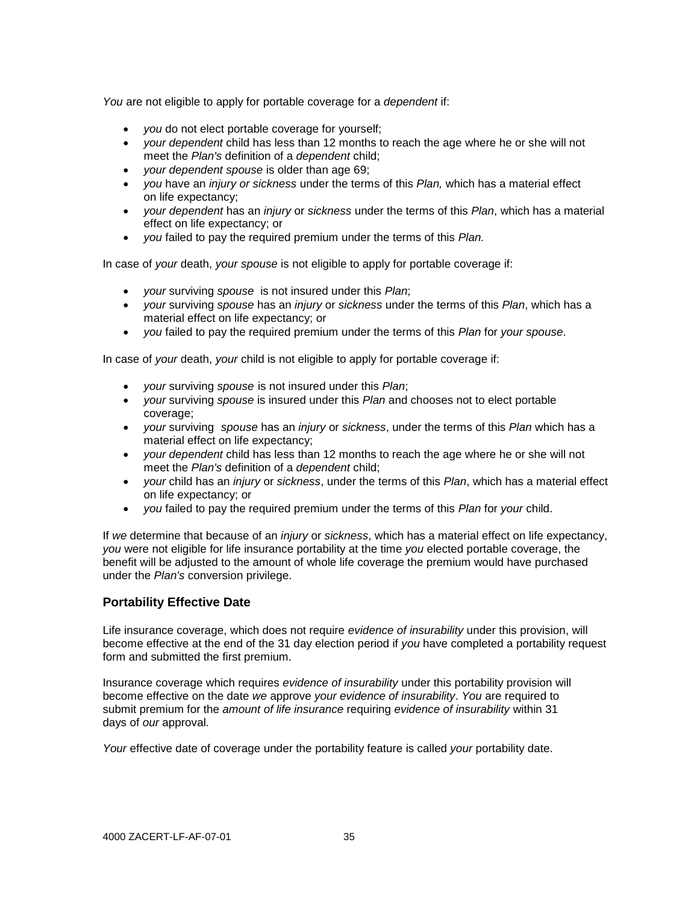*You* are not eligible to apply for portable coverage for a *dependent* if:

- *you* do not elect portable coverage for yourself;
- *your dependent* child has less than 12 months to reach the age where he or she will not meet the *Plan's* definition of a *dependent* child;
- *your dependent spouse* is older than age 69;
- *you* have an *injury or sickness* under the terms of this *Plan,* which has a material effect on life expectancy;
- *your dependent* has an *injury* or *sickness* under the terms of this *Plan*, which has a material effect on life expectancy; or
- *you* failed to pay the required premium under the terms of this *Plan.*

In case of *your* death, *your spouse* is not eligible to apply for portable coverage if:

- *your* surviving *spouse* is not insured under this *Plan*;
- *your* surviving *spouse* has an *injury* or *sickness* under the terms of this *Plan*, which has a material effect on life expectancy; or
- *you* failed to pay the required premium under the terms of this *Plan* for *your spouse*.

In case of *your* death, *your* child is not eligible to apply for portable coverage if:

- *your* surviving *spouse* is not insured under this *Plan*;
- *your* surviving *spouse* is insured under this *Plan* and chooses not to elect portable coverage;
- *your* surviving *spouse* has an *injury* or *sickness*, under the terms of this *Plan* which has a material effect on life expectancy;
- *your dependent* child has less than 12 months to reach the age where he or she will not meet the *Plan's* definition of a *dependent* child;
- *your* child has an *injury* or *sickness*, under the terms of this *Plan*, which has a material effect on life expectancy; or
- *you* failed to pay the required premium under the terms of this *Plan* for *your* child.

If *we* determine that because of an *injury* or *sickness*, which has a material effect on life expectancy, *you* were not eligible for life insurance portability at the time *you* elected portable coverage, the benefit will be adjusted to the amount of whole life coverage the premium would have purchased under the *Plan's* conversion privilege.

# **Portability Effective Date**

Life insurance coverage, which does not require *evidence of insurability* under this provision, will become effective at the end of the 31 day election period if *you* have completed a portability request form and submitted the first premium.

Insurance coverage which requires *evidence of insurability* under this portability provision will become effective on the date *we* approve *your evidence of insurability*. *You* are required to submit premium for the *amount of life insurance* requiring *evidence of insurability* within 31 days of *our* approval.

*Your* effective date of coverage under the portability feature is called *your* portability date.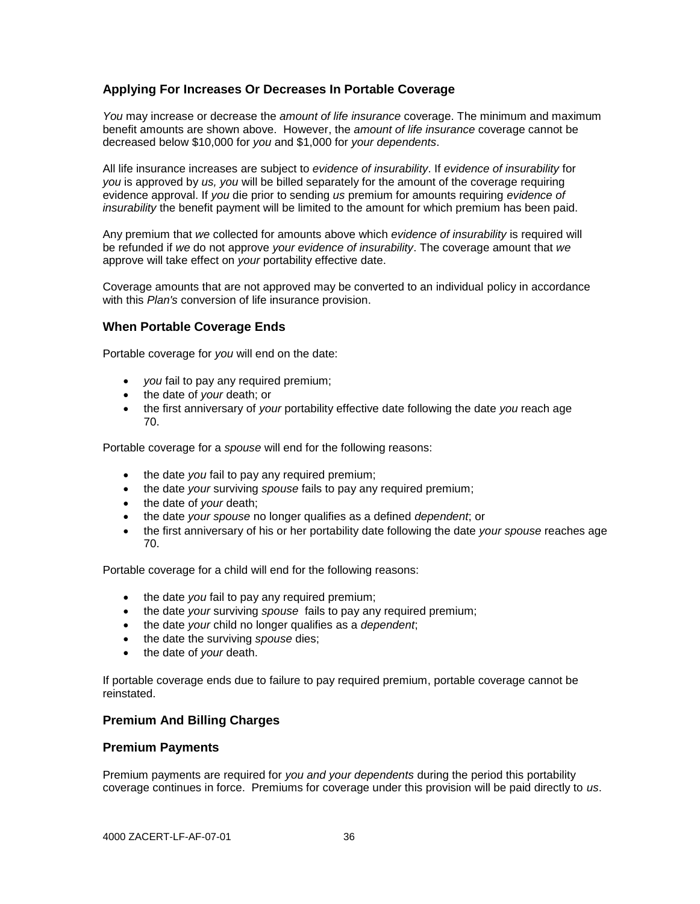# **Applying For Increases Or Decreases In Portable Coverage**

*You* may increase or decrease the *amount of life insurance* coverage. The minimum and maximum benefit amounts are shown above. However, the *amount of life insurance* coverage cannot be decreased below \$10,000 for *you* and \$1,000 for *your dependents*.

All life insurance increases are subject to *evidence of insurability*. If *evidence of insurability* for *you* is approved by *us, you* will be billed separately for the amount of the coverage requiring evidence approval. If *you* die prior to sending *us* premium for amounts requiring *evidence of insurability* the benefit payment will be limited to the amount for which premium has been paid.

Any premium that *we* collected for amounts above which *evidence of insurability* is required will be refunded if *we* do not approve *your evidence of insurability*. The coverage amount that *we* approve will take effect on *your* portability effective date.

Coverage amounts that are not approved may be converted to an individual policy in accordance with this *Plan's* conversion of life insurance provision.

## **When Portable Coverage Ends**

Portable coverage for *you* will end on the date:

- *you* fail to pay any required premium;
- the date of *your* death; or
- the first anniversary of *your* portability effective date following the date *you* reach age 70.

Portable coverage for a *spouse* will end for the following reasons:

- the date *you* fail to pay any required premium;
- the date *your* surviving *spouse* fails to pay any required premium;
- the date of *your* death;
- the date *your spouse* no longer qualifies as a defined *dependent*; or
- the first anniversary of his or her portability date following the date *your spouse* reaches age 70.

Portable coverage for a child will end for the following reasons:

- the date *you* fail to pay any required premium;
- the date *your* surviving *spouse* fails to pay any required premium;
- the date *your* child no longer qualifies as a *dependent*;
- the date the surviving *spouse* dies;
- the date of *your* death.

If portable coverage ends due to failure to pay required premium, portable coverage cannot be reinstated.

#### **Premium And Billing Charges**

#### **Premium Payments**

Premium payments are required for *you and your dependents* during the period this portability coverage continues in force. Premiums for coverage under this provision will be paid directly to *us*.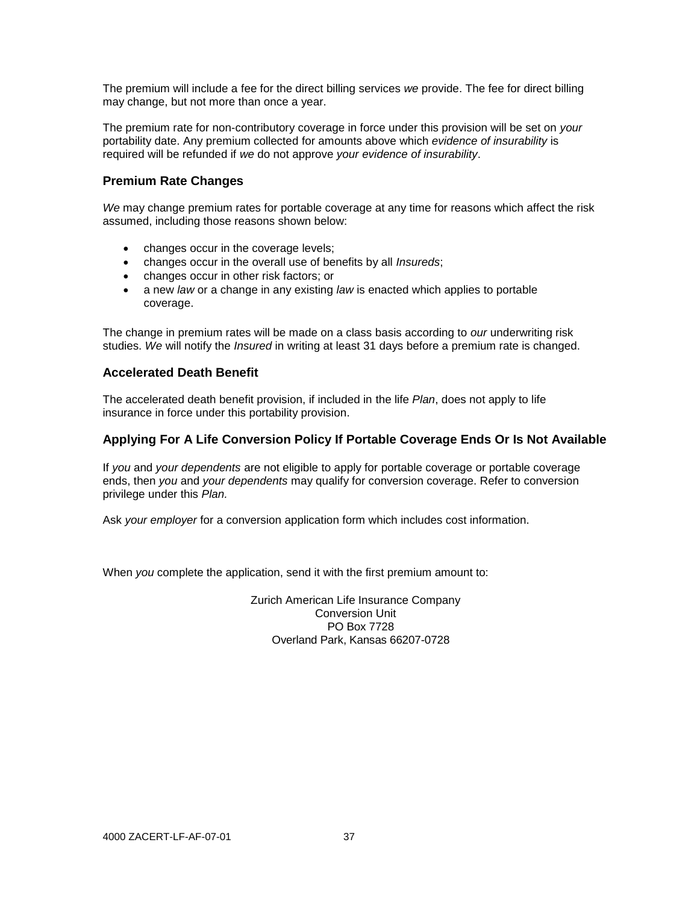The premium will include a fee for the direct billing services *we* provide. The fee for direct billing may change, but not more than once a year.

The premium rate for non-contributory coverage in force under this provision will be set on *your* portability date. Any premium collected for amounts above which *evidence of insurability* is required will be refunded if *we* do not approve *your evidence of insurability*.

# **Premium Rate Changes**

*We* may change premium rates for portable coverage at any time for reasons which affect the risk assumed, including those reasons shown below:

- changes occur in the coverage levels;
- changes occur in the overall use of benefits by all *Insureds*;
- changes occur in other risk factors; or
- a new *law* or a change in any existing *law* is enacted which applies to portable coverage.

The change in premium rates will be made on a class basis according to *our* underwriting risk studies. *We* will notify the *Insured* in writing at least 31 days before a premium rate is changed.

## **Accelerated Death Benefit**

The accelerated death benefit provision, if included in the life *Plan*, does not apply to life insurance in force under this portability provision.

# **Applying For A Life Conversion Policy If Portable Coverage Ends Or Is Not Available**

If *you* and *your dependents* are not eligible to apply for portable coverage or portable coverage ends, then *you* and *your dependents* may qualify for conversion coverage. Refer to conversion privilege under this *Plan.*

Ask *your employer* for a conversion application form which includes cost information.

When *you* complete the application, send it with the first premium amount to:

Zurich American Life Insurance Company Conversion Unit PO Box 7728 Overland Park, Kansas 66207-0728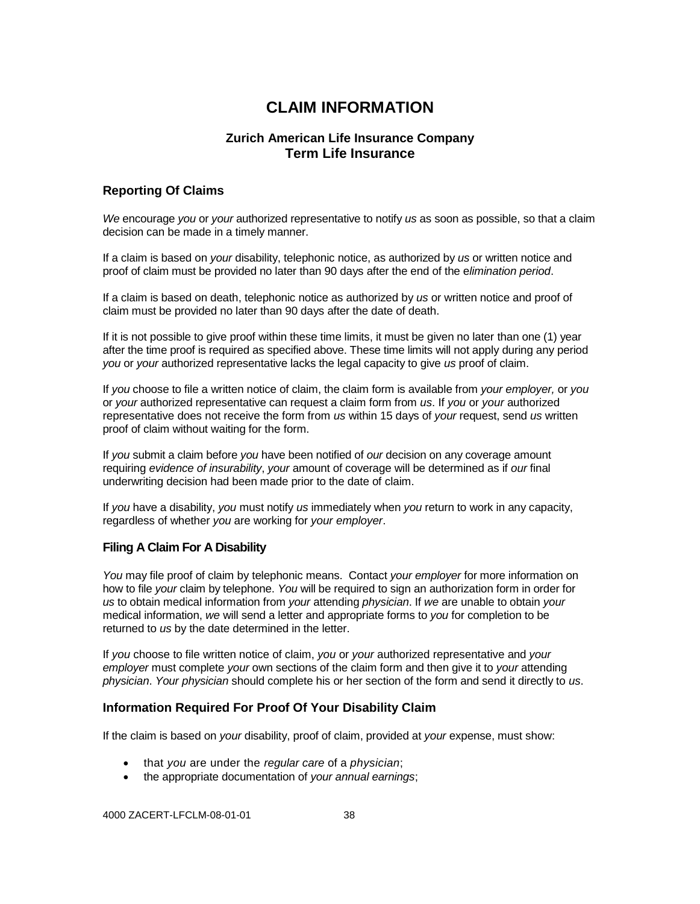# **CLAIM INFORMATION**

# **Zurich American Life Insurance Company Term Life Insurance**

# **Reporting Of Claims**

*We* encourage *you* or *your* authorized representative to notify *us* as soon as possible, so that a claim decision can be made in a timely manner.

If a claim is based on *your* disability, telephonic notice, as authorized by *us* or written notice and proof of claim must be provided no later than 90 days after the end of the e*limination period*.

If a claim is based on death, telephonic notice as authorized by *us* or written notice and proof of claim must be provided no later than 90 days after the date of death.

If it is not possible to give proof within these time limits, it must be given no later than one (1) year after the time proof is required as specified above. These time limits will not apply during any period *you* or *your* authorized representative lacks the legal capacity to give *us* proof of claim.

If *you* choose to file a written notice of claim, the claim form is available from *your employer,* or *you* or *your* authorized representative can request a claim form from *us*. If *you* or *your* authorized representative does not receive the form from *us* within 15 days of *your* request, send *us* written proof of claim without waiting for the form.

If *you* submit a claim before *you* have been notified of *our* decision on any coverage amount requiring *evidence of insurability*, *your* amount of coverage will be determined as if *our* final underwriting decision had been made prior to the date of claim.

If *you* have a disability, *you* must notify *us* immediately when *you* return to work in any capacity, regardless of whether *you* are working for *your employer*.

#### **Filing A Claim For A Disability**

*You* may file proof of claim by telephonic means. Contact *your employer* for more information on how to file *your* claim by telephone. *You* will be required to sign an authorization form in order for *us* to obtain medical information from *your* attending *physician*. If *we* are unable to obtain *your* medical information, *we* will send a letter and appropriate forms to *you* for completion to be returned to *us* by the date determined in the letter.

If *you* choose to file written notice of claim, *you* or *your* authorized representative and *your employer* must complete *your* own sections of the claim form and then give it to *your* attending *physician*. *Your physician* should complete his or her section of the form and send it directly to *us*.

#### **Information Required For Proof Of Your Disability Claim**

If the claim is based on *your* disability, proof of claim, provided at *your* expense, must show:

- that *you* are under the *regular care* of a *physician*;
- the appropriate documentation of *your annual earnings*;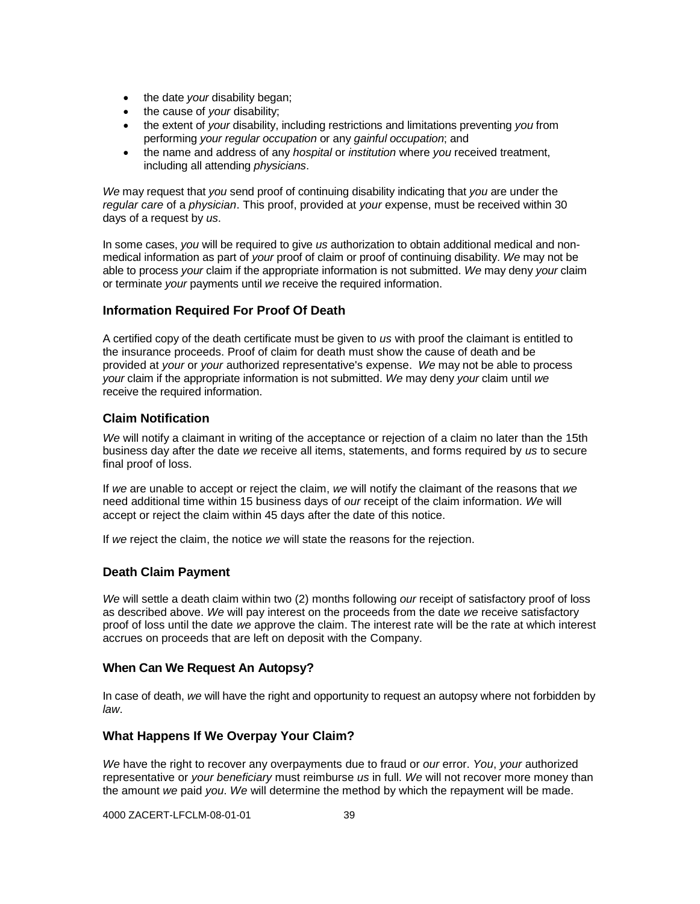- the date *your* disability began;
- the cause of *your* disability;
- the extent of *your* disability, including restrictions and limitations preventing *you* from performing *your regular occupation* or any *gainful occupation*; and
- the name and address of any *hospital* or *institution* where *you* received treatment, including all attending *physicians*.

*We* may request that *you* send proof of continuing disability indicating that *you* are under the *regular care* of a *physician*. This proof, provided at *your* expense, must be received within 30 days of a request by *us*.

In some cases, *you* will be required to give *us* authorization to obtain additional medical and nonmedical information as part of *your* proof of claim or proof of continuing disability. *We* may not be able to process *your* claim if the appropriate information is not submitted. *We* may deny *your* claim or terminate *your* payments until *we* receive the required information.

# **Information Required For Proof Of Death**

A certified copy of the death certificate must be given to *us* with proof the claimant is entitled to the insurance proceeds. Proof of claim for death must show the cause of death and be provided at *your* or *your* authorized representative's expense. *We* may not be able to process *your* claim if the appropriate information is not submitted. *We* may deny *your* claim until *we* receive the required information.

# **Claim Notification**

*We* will notify a claimant in writing of the acceptance or rejection of a claim no later than the 15th business day after the date *we* receive all items, statements, and forms required by *us* to secure final proof of loss.

If *we* are unable to accept or reject the claim, *we* will notify the claimant of the reasons that *we* need additional time within 15 business days of *our* receipt of the claim information. *We* will accept or reject the claim within 45 days after the date of this notice.

If *we* reject the claim, the notice *we* will state the reasons for the rejection.

## **Death Claim Payment**

*We* will settle a death claim within two (2) months following *our* receipt of satisfactory proof of loss as described above. *We* will pay interest on the proceeds from the date *we* receive satisfactory proof of loss until the date *we* approve the claim. The interest rate will be the rate at which interest accrues on proceeds that are left on deposit with the Company.

## **When Can We Request An Autopsy?**

In case of death, *we* will have the right and opportunity to request an autopsy where not forbidden by *law*.

#### **What Happens If We Overpay Your Claim?**

*We* have the right to recover any overpayments due to fraud or *our* error. *You*, *your* authorized representative or *your beneficiary* must reimburse *us* in full. *We* will not recover more money than the amount *we* paid *you*. *We* will determine the method by which the repayment will be made.

4000 ZACERT-LFCLM-08-01-01 39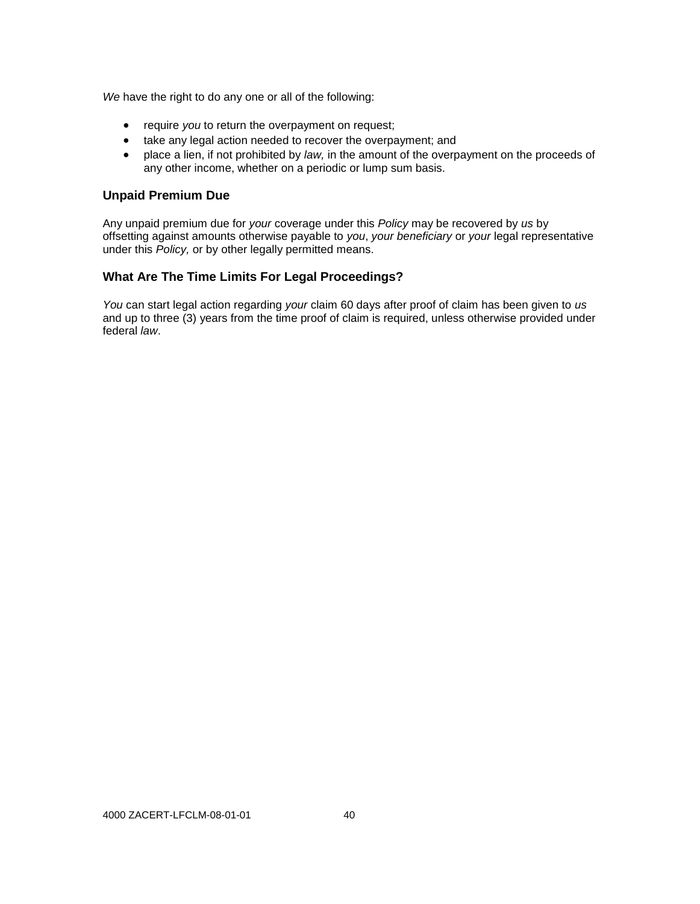*We* have the right to do any one or all of the following:

- **•** require *you* to return the overpayment on request;
- take any legal action needed to recover the overpayment; and
- place a lien, if not prohibited by *law,* in the amount of the overpayment on the proceeds of any other income, whether on a periodic or lump sum basis.

# **Unpaid Premium Due**

Any unpaid premium due for *your* coverage under this *Policy* may be recovered by *us* by offsetting against amounts otherwise payable to *you*, *your beneficiary* or *your* legal representative under this *Policy,* or by other legally permitted means.

# **What Are The Time Limits For Legal Proceedings?**

*You* can start legal action regarding *your* claim 60 days after proof of claim has been given to *us* and up to three (3) years from the time proof of claim is required, unless otherwise provided under federal *law*.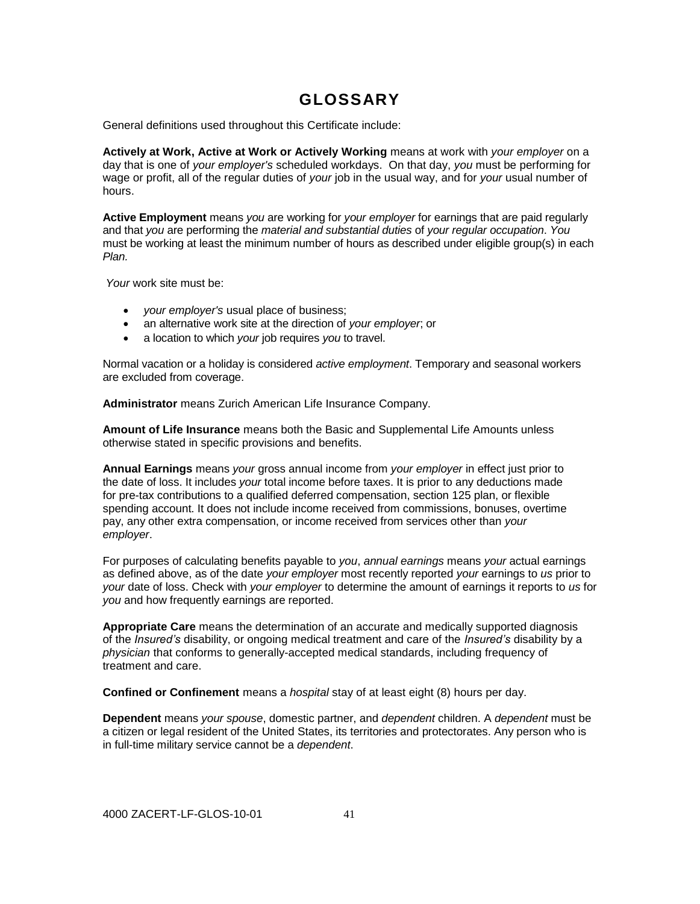# **GLOSSARY**

General definitions used throughout this Certificate include:

**Actively at Work, Active at Work or Actively Working** means at work with *your employer* on a day that is one of *your employer's* scheduled workdays. On that day, *you* must be performing for wage or profit, all of the regular duties of *your* job in the usual way, and for *your* usual number of hours.

**Active Employment** means *you* are working for *your employer* for earnings that are paid regularly and that *you* are performing the *material and substantial duties* of *your regular occupation*. *You* must be working at least the minimum number of hours as described under eligible group(s) in each *Plan.*

*Your* work site must be:

- *your employer's* usual place of business;
- an alternative work site at the direction of *your employer*; or
- a location to which *your* job requires *you* to travel.

Normal vacation or a holiday is considered *active employment*. Temporary and seasonal workers are excluded from coverage.

**Administrator** means Zurich American Life Insurance Company.

**Amount of Life Insurance** means both the Basic and Supplemental Life Amounts unless otherwise stated in specific provisions and benefits.

**Annual Earnings** means *your* gross annual income from *your employer* in effect just prior to the date of loss. It includes *your* total income before taxes. It is prior to any deductions made for pre-tax contributions to a qualified deferred compensation, section 125 plan, or flexible spending account. It does not include income received from commissions, bonuses, overtime pay, any other extra compensation, or income received from services other than *your employer*.

For purposes of calculating benefits payable to *you*, *annual earnings* means *your* actual earnings as defined above, as of the date *your employer* most recently reported *your* earnings to *us* prior to *your* date of loss. Check with *your employer* to determine the amount of earnings it reports to *us* for *you* and how frequently earnings are reported.

**Appropriate Care** means the determination of an accurate and medically supported diagnosis of the *Insured's* disability, or ongoing medical treatment and care of the *Insured's* disability by a *physician* that conforms to generally-accepted medical standards, including frequency of treatment and care.

**Confined or Confinement** means a *hospital* stay of at least eight (8) hours per day.

**Dependent** means *your spouse*, domestic partner, and *dependent* children. A *dependent* must be a citizen or legal resident of the United States, its territories and protectorates. Any person who is in full-time military service cannot be a *dependent*.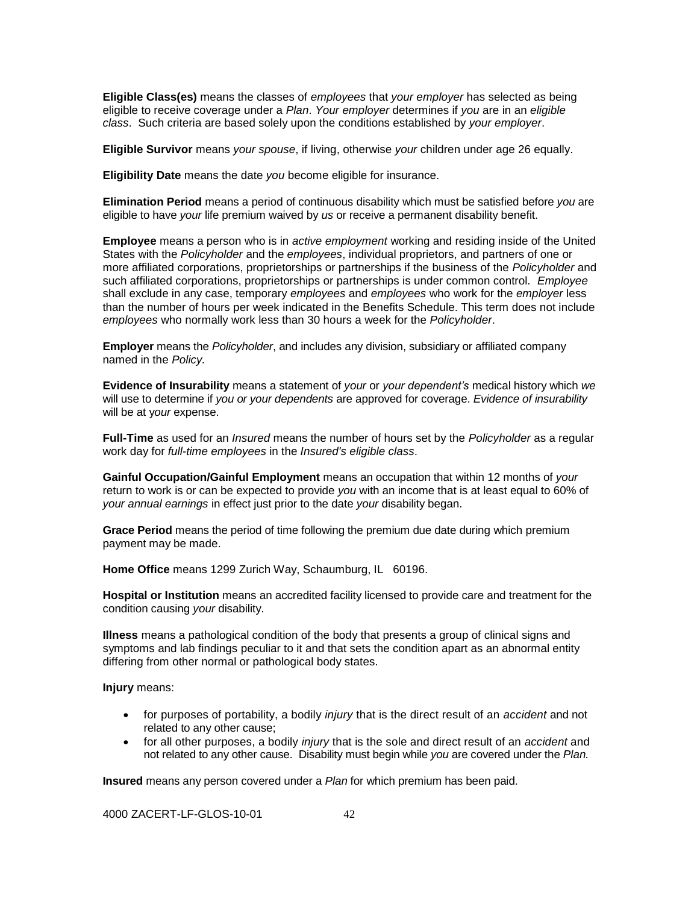**Eligible Class(es)** means the classes of *employees* that *your employer* has selected as being eligible to receive coverage under a *Plan*. *Your employer* determines if *you* are in an *eligible class*. Such criteria are based solely upon the conditions established by *your employer*.

**Eligible Survivor** means *your spouse*, if living, otherwise *your* children under age 26 equally.

**Eligibility Date** means the date *you* become eligible for insurance.

**Elimination Period** means a period of continuous disability which must be satisfied before *you* are eligible to have *your* life premium waived by *us* or receive a permanent disability benefit.

**Employee** means a person who is in *active employment* working and residing inside of the United States with the *Policyholder* and the *employees*, individual proprietors, and partners of one or more affiliated corporations, proprietorships or partnerships if the business of the *Policyholder* and such affiliated corporations, proprietorships or partnerships is under common control. *Employee* shall exclude in any case, temporary *employees* and *employees* who work for the *employer* less than the number of hours per week indicated in the Benefits Schedule. This term does not include *employees* who normally work less than 30 hours a week for the *Policyholder*.

**Employer** means the *Policyholder*, and includes any division, subsidiary or affiliated company named in the *Policy.*

**Evidence of Insurability** means a statement of *your* or *your dependent's* medical history which *we* will use to determine if *you or your dependents* are approved for coverage. *Evidence of insurability*  will be at y*our* expense.

**Full-Time** as used for an *Insured* means the number of hours set by the *Policyholder* as a regular work day for *full-time employees* in the *Insured's eligible class*.

**Gainful Occupation/Gainful Employment** means an occupation that within 12 months of *your* return to work is or can be expected to provide *you* with an income that is at least equal to 60% of *your annual earnings* in effect just prior to the date *your* disability began.

**Grace Period** means the period of time following the premium due date during which premium payment may be made.

**Home Office** means 1299 Zurich Way, Schaumburg, IL 60196.

**Hospital or Institution** means an accredited facility licensed to provide care and treatment for the condition causing *your* disability.

**Illness** means a pathological condition of the body that presents a group of clinical signs and symptoms and lab findings peculiar to it and that sets the condition apart as an abnormal entity differing from other normal or pathological body states.

**Injury** means:

- for purposes of portability, a bodily *injury* that is the direct result of an *accident* and not related to any other cause;
- for all other purposes, a bodily *injury* that is the sole and direct result of an *accident* and not related to any other cause. Disability must begin while *you* are covered under the *Plan.*

**Insured** means any person covered under a *Plan* for which premium has been paid.

4000 ZACERT-LF-GLOS-10-01 42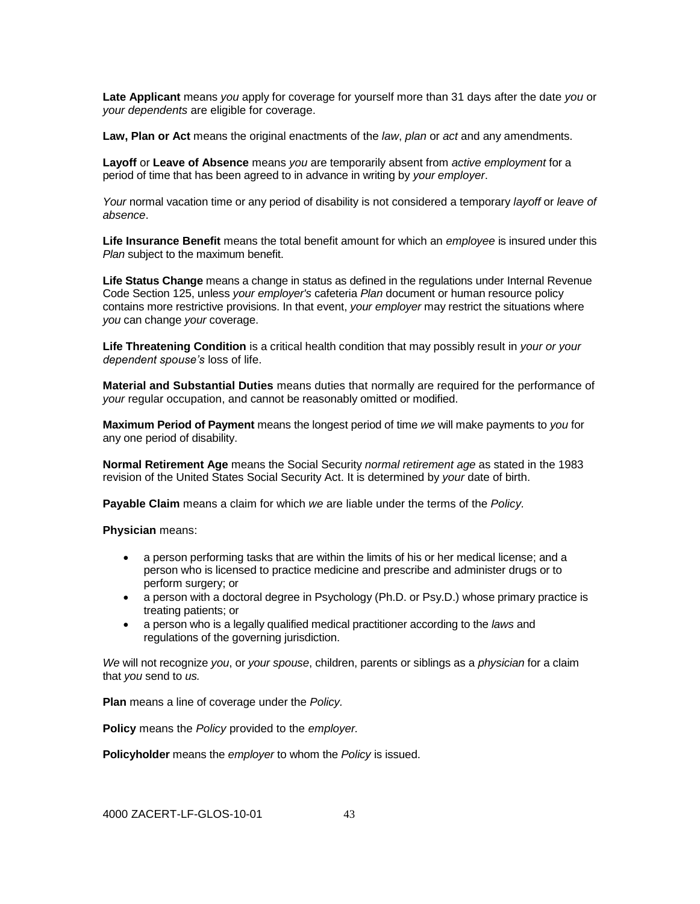**Late Applicant** means *you* apply for coverage for yourself more than 31 days after the date *you* or *your dependents* are eligible for coverage.

**Law, Plan or Act** means the original enactments of the *law*, *plan* or *act* and any amendments.

**Layoff** or **Leave of Absence** means *you* are temporarily absent from *active employment* for a period of time that has been agreed to in advance in writing by *your employer*.

*Your* normal vacation time or any period of disability is not considered a temporary *layoff* or *leave of absence*.

**Life Insurance Benefit** means the total benefit amount for which an *employee* is insured under this *Plan* subject to the maximum benefit.

**Life Status Change** means a change in status as defined in the regulations under Internal Revenue Code Section 125, unless *your employer's* cafeteria *Plan* document or human resource policy contains more restrictive provisions. In that event, *your employer* may restrict the situations where *you* can change *your* coverage.

**Life Threatening Condition** is a critical health condition that may possibly result in *your or your dependent spouse's* loss of life.

**Material and Substantial Duties** means duties that normally are required for the performance of *your* regular occupation, and cannot be reasonably omitted or modified.

**Maximum Period of Payment** means the longest period of time *we* will make payments to *you* for any one period of disability.

**Normal Retirement Age** means the Social Security *normal retirement age* as stated in the 1983 revision of the United States Social Security Act. It is determined by *your* date of birth.

**Payable Claim** means a claim for which *we* are liable under the terms of the *Policy.*

**Physician** means:

- a person performing tasks that are within the limits of his or her medical license; and a person who is licensed to practice medicine and prescribe and administer drugs or to perform surgery; or
- a person with a doctoral degree in Psychology (Ph.D. or Psy.D.) whose primary practice is treating patients; or
- a person who is a legally qualified medical practitioner according to the *laws* and regulations of the governing jurisdiction.

*We* will not recognize *you*, or *your spouse*, children, parents or siblings as a *physician* for a claim that *you* send to *us.*

**Plan** means a line of coverage under the *Policy.*

**Policy** means the *Policy* provided to the *employer.*

**Policyholder** means the *employer* to whom the *Policy* is issued.

4000 ZACERT-LF-GLOS-10-01 43